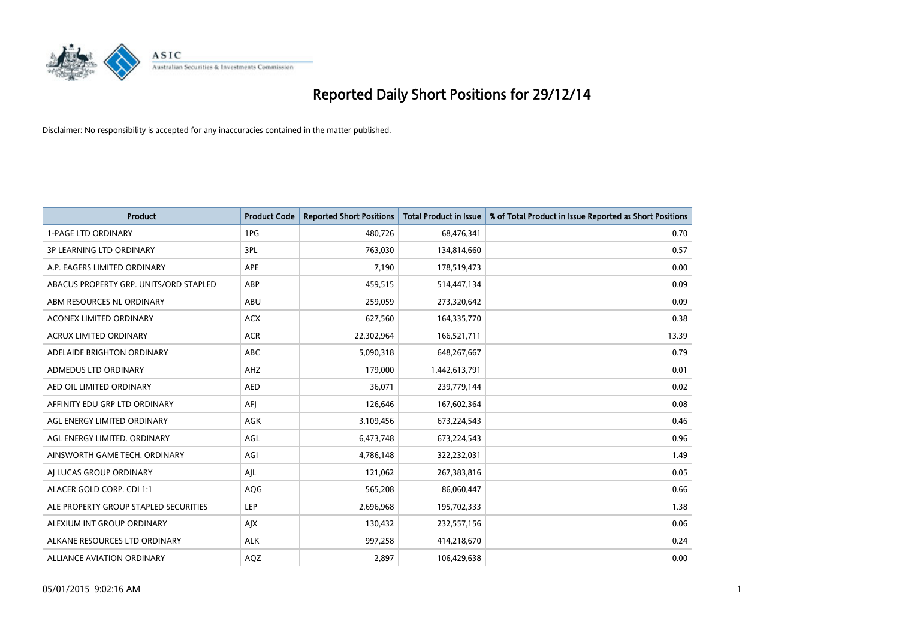

| <b>Product</b>                         | <b>Product Code</b> | <b>Reported Short Positions</b> | <b>Total Product in Issue</b> | % of Total Product in Issue Reported as Short Positions |
|----------------------------------------|---------------------|---------------------------------|-------------------------------|---------------------------------------------------------|
| <b>1-PAGE LTD ORDINARY</b>             | 1PG                 | 480,726                         | 68,476,341                    | 0.70                                                    |
| 3P LEARNING LTD ORDINARY               | 3PL                 | 763,030                         | 134,814,660                   | 0.57                                                    |
| A.P. EAGERS LIMITED ORDINARY           | APE                 | 7,190                           | 178,519,473                   | 0.00                                                    |
| ABACUS PROPERTY GRP. UNITS/ORD STAPLED | ABP                 | 459,515                         | 514,447,134                   | 0.09                                                    |
| ABM RESOURCES NL ORDINARY              | ABU                 | 259,059                         | 273,320,642                   | 0.09                                                    |
| ACONEX LIMITED ORDINARY                | <b>ACX</b>          | 627,560                         | 164,335,770                   | 0.38                                                    |
| ACRUX LIMITED ORDINARY                 | <b>ACR</b>          | 22,302,964                      | 166,521,711                   | 13.39                                                   |
| ADELAIDE BRIGHTON ORDINARY             | ABC                 | 5,090,318                       | 648,267,667                   | 0.79                                                    |
| ADMEDUS LTD ORDINARY                   | AHZ                 | 179,000                         | 1,442,613,791                 | 0.01                                                    |
| AED OIL LIMITED ORDINARY               | <b>AED</b>          | 36,071                          | 239,779,144                   | 0.02                                                    |
| AFFINITY EDU GRP LTD ORDINARY          | AFJ                 | 126,646                         | 167,602,364                   | 0.08                                                    |
| AGL ENERGY LIMITED ORDINARY            | AGK                 | 3,109,456                       | 673,224,543                   | 0.46                                                    |
| AGL ENERGY LIMITED. ORDINARY           | AGL                 | 6,473,748                       | 673,224,543                   | 0.96                                                    |
| AINSWORTH GAME TECH. ORDINARY          | AGI                 | 4,786,148                       | 322,232,031                   | 1.49                                                    |
| AJ LUCAS GROUP ORDINARY                | AJL                 | 121,062                         | 267,383,816                   | 0.05                                                    |
| ALACER GOLD CORP. CDI 1:1              | AQG                 | 565,208                         | 86,060,447                    | 0.66                                                    |
| ALE PROPERTY GROUP STAPLED SECURITIES  | LEP                 | 2,696,968                       | 195,702,333                   | 1.38                                                    |
| ALEXIUM INT GROUP ORDINARY             | AJX                 | 130,432                         | 232,557,156                   | 0.06                                                    |
| ALKANE RESOURCES LTD ORDINARY          | <b>ALK</b>          | 997,258                         | 414,218,670                   | 0.24                                                    |
| <b>ALLIANCE AVIATION ORDINARY</b>      | AQZ                 | 2,897                           | 106,429,638                   | 0.00                                                    |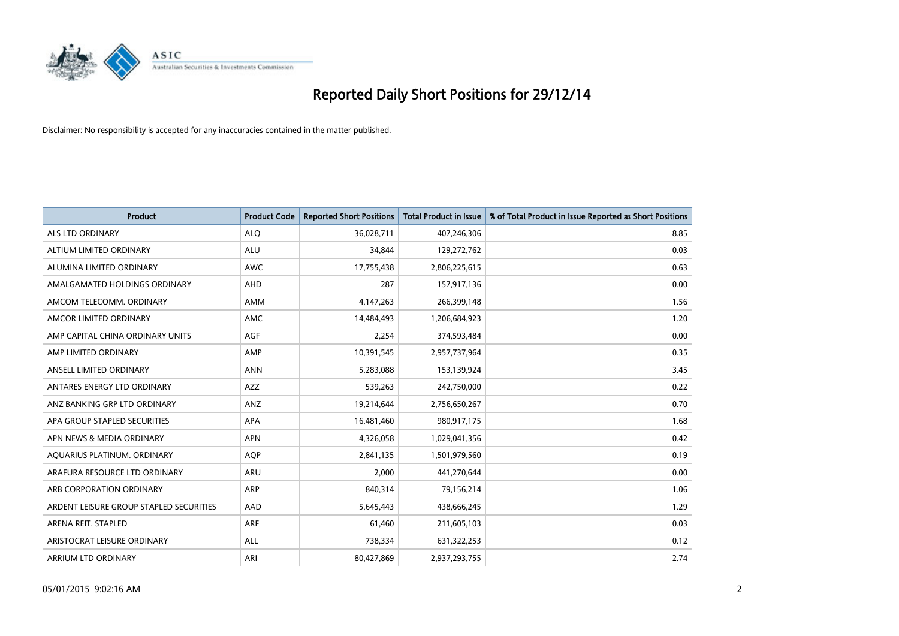

| <b>Product</b>                          | <b>Product Code</b> | <b>Reported Short Positions</b> | <b>Total Product in Issue</b> | % of Total Product in Issue Reported as Short Positions |
|-----------------------------------------|---------------------|---------------------------------|-------------------------------|---------------------------------------------------------|
| ALS LTD ORDINARY                        | <b>ALQ</b>          | 36,028,711                      | 407,246,306                   | 8.85                                                    |
| ALTIUM LIMITED ORDINARY                 | <b>ALU</b>          | 34,844                          | 129,272,762                   | 0.03                                                    |
| ALUMINA LIMITED ORDINARY                | <b>AWC</b>          | 17,755,438                      | 2,806,225,615                 | 0.63                                                    |
| AMALGAMATED HOLDINGS ORDINARY           | <b>AHD</b>          | 287                             | 157,917,136                   | 0.00                                                    |
| AMCOM TELECOMM, ORDINARY                | <b>AMM</b>          | 4,147,263                       | 266,399,148                   | 1.56                                                    |
| AMCOR LIMITED ORDINARY                  | <b>AMC</b>          | 14,484,493                      | 1,206,684,923                 | 1.20                                                    |
| AMP CAPITAL CHINA ORDINARY UNITS        | AGF                 | 2,254                           | 374,593,484                   | 0.00                                                    |
| AMP LIMITED ORDINARY                    | AMP                 | 10,391,545                      | 2,957,737,964                 | 0.35                                                    |
| ANSELL LIMITED ORDINARY                 | <b>ANN</b>          | 5,283,088                       | 153,139,924                   | 3.45                                                    |
| ANTARES ENERGY LTD ORDINARY             | <b>AZZ</b>          | 539,263                         | 242,750,000                   | 0.22                                                    |
| ANZ BANKING GRP LTD ORDINARY            | ANZ                 | 19,214,644                      | 2,756,650,267                 | 0.70                                                    |
| APA GROUP STAPLED SECURITIES            | APA                 | 16,481,460                      | 980,917,175                   | 1.68                                                    |
| APN NEWS & MEDIA ORDINARY               | <b>APN</b>          | 4,326,058                       | 1,029,041,356                 | 0.42                                                    |
| AQUARIUS PLATINUM. ORDINARY             | <b>AOP</b>          | 2,841,135                       | 1,501,979,560                 | 0.19                                                    |
| ARAFURA RESOURCE LTD ORDINARY           | <b>ARU</b>          | 2,000                           | 441,270,644                   | 0.00                                                    |
| ARB CORPORATION ORDINARY                | ARP                 | 840,314                         | 79,156,214                    | 1.06                                                    |
| ARDENT LEISURE GROUP STAPLED SECURITIES | AAD                 | 5,645,443                       | 438,666,245                   | 1.29                                                    |
| ARENA REIT. STAPLED                     | <b>ARF</b>          | 61,460                          | 211,605,103                   | 0.03                                                    |
| ARISTOCRAT LEISURE ORDINARY             | <b>ALL</b>          | 738,334                         | 631,322,253                   | 0.12                                                    |
| ARRIUM LTD ORDINARY                     | ARI                 | 80,427,869                      | 2,937,293,755                 | 2.74                                                    |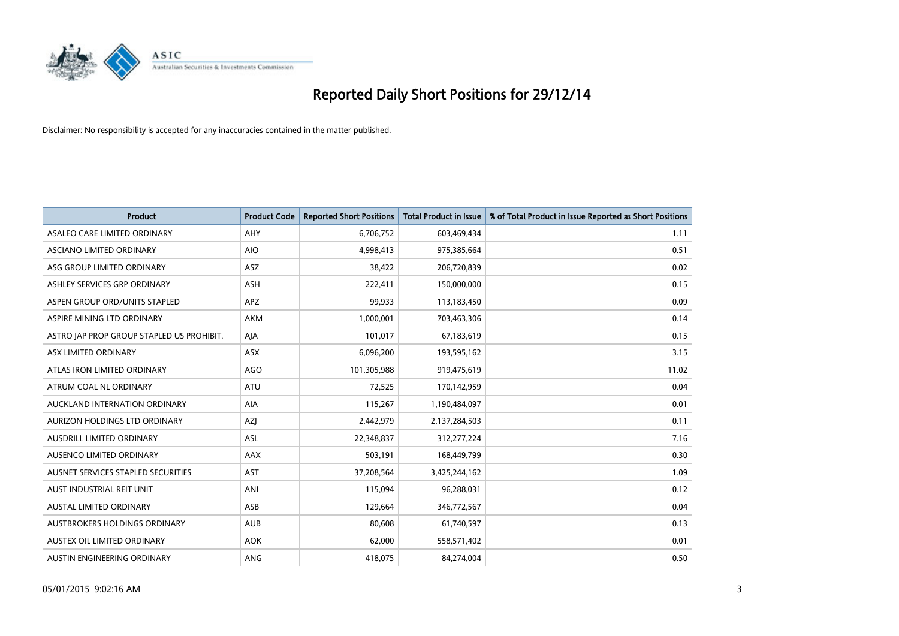

| <b>Product</b>                            | <b>Product Code</b> | <b>Reported Short Positions</b> | <b>Total Product in Issue</b> | % of Total Product in Issue Reported as Short Positions |
|-------------------------------------------|---------------------|---------------------------------|-------------------------------|---------------------------------------------------------|
| ASALEO CARE LIMITED ORDINARY              | AHY                 | 6,706,752                       | 603,469,434                   | 1.11                                                    |
| ASCIANO LIMITED ORDINARY                  | <b>AIO</b>          | 4,998,413                       | 975,385,664                   | 0.51                                                    |
| ASG GROUP LIMITED ORDINARY                | ASZ                 | 38,422                          | 206,720,839                   | 0.02                                                    |
| ASHLEY SERVICES GRP ORDINARY              | <b>ASH</b>          | 222,411                         | 150,000,000                   | 0.15                                                    |
| ASPEN GROUP ORD/UNITS STAPLED             | APZ                 | 99,933                          | 113,183,450                   | 0.09                                                    |
| ASPIRE MINING LTD ORDINARY                | <b>AKM</b>          | 1,000,001                       | 703,463,306                   | 0.14                                                    |
| ASTRO JAP PROP GROUP STAPLED US PROHIBIT. | AJA                 | 101,017                         | 67,183,619                    | 0.15                                                    |
| ASX LIMITED ORDINARY                      | ASX                 | 6,096,200                       | 193,595,162                   | 3.15                                                    |
| ATLAS IRON LIMITED ORDINARY               | AGO                 | 101,305,988                     | 919,475,619                   | 11.02                                                   |
| ATRUM COAL NL ORDINARY                    | ATU                 | 72,525                          | 170,142,959                   | 0.04                                                    |
| AUCKLAND INTERNATION ORDINARY             | AIA                 | 115,267                         | 1,190,484,097                 | 0.01                                                    |
| AURIZON HOLDINGS LTD ORDINARY             | AZJ                 | 2,442,979                       | 2,137,284,503                 | 0.11                                                    |
| AUSDRILL LIMITED ORDINARY                 | ASL                 | 22,348,837                      | 312,277,224                   | 7.16                                                    |
| AUSENCO LIMITED ORDINARY                  | AAX                 | 503,191                         | 168,449,799                   | 0.30                                                    |
| AUSNET SERVICES STAPLED SECURITIES        | AST                 | 37,208,564                      | 3,425,244,162                 | 1.09                                                    |
| AUST INDUSTRIAL REIT UNIT                 | ANI                 | 115,094                         | 96,288,031                    | 0.12                                                    |
| AUSTAL LIMITED ORDINARY                   | ASB                 | 129,664                         | 346,772,567                   | 0.04                                                    |
| AUSTBROKERS HOLDINGS ORDINARY             | <b>AUB</b>          | 80.608                          | 61,740,597                    | 0.13                                                    |
| AUSTEX OIL LIMITED ORDINARY               | <b>AOK</b>          | 62,000                          | 558,571,402                   | 0.01                                                    |
| AUSTIN ENGINEERING ORDINARY               | ANG                 | 418,075                         | 84,274,004                    | 0.50                                                    |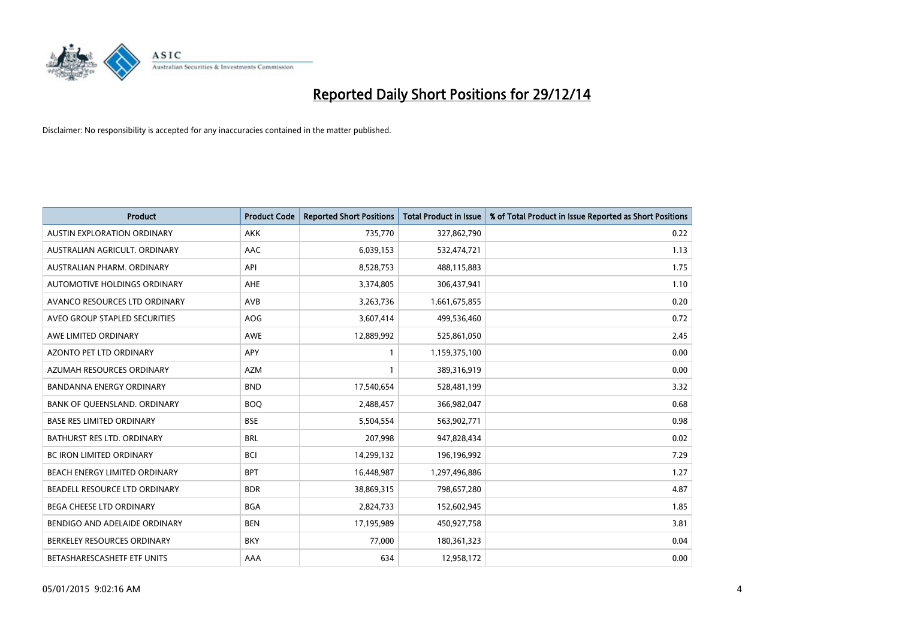

| <b>Product</b>                     | <b>Product Code</b> | <b>Reported Short Positions</b> | <b>Total Product in Issue</b> | % of Total Product in Issue Reported as Short Positions |
|------------------------------------|---------------------|---------------------------------|-------------------------------|---------------------------------------------------------|
| <b>AUSTIN EXPLORATION ORDINARY</b> | <b>AKK</b>          | 735,770                         | 327,862,790                   | 0.22                                                    |
| AUSTRALIAN AGRICULT, ORDINARY      | AAC                 | 6,039,153                       | 532,474,721                   | 1.13                                                    |
| AUSTRALIAN PHARM. ORDINARY         | API                 | 8,528,753                       | 488,115,883                   | 1.75                                                    |
| AUTOMOTIVE HOLDINGS ORDINARY       | AHE                 | 3,374,805                       | 306,437,941                   | 1.10                                                    |
| AVANCO RESOURCES LTD ORDINARY      | AVB                 | 3,263,736                       | 1,661,675,855                 | 0.20                                                    |
| AVEO GROUP STAPLED SECURITIES      | AOG                 | 3,607,414                       | 499,536,460                   | 0.72                                                    |
| AWE LIMITED ORDINARY               | AWE                 | 12,889,992                      | 525,861,050                   | 2.45                                                    |
| AZONTO PET LTD ORDINARY            | APY                 | $\mathbf{1}$                    | 1,159,375,100                 | 0.00                                                    |
| AZUMAH RESOURCES ORDINARY          | <b>AZM</b>          | $\mathbf{1}$                    | 389,316,919                   | 0.00                                                    |
| <b>BANDANNA ENERGY ORDINARY</b>    | <b>BND</b>          | 17,540,654                      | 528,481,199                   | 3.32                                                    |
| BANK OF QUEENSLAND. ORDINARY       | <b>BOQ</b>          | 2,488,457                       | 366,982,047                   | 0.68                                                    |
| <b>BASE RES LIMITED ORDINARY</b>   | <b>BSE</b>          | 5,504,554                       | 563,902,771                   | 0.98                                                    |
| BATHURST RES LTD. ORDINARY         | <b>BRL</b>          | 207,998                         | 947,828,434                   | 0.02                                                    |
| <b>BC IRON LIMITED ORDINARY</b>    | <b>BCI</b>          | 14,299,132                      | 196,196,992                   | 7.29                                                    |
| BEACH ENERGY LIMITED ORDINARY      | <b>BPT</b>          | 16,448,987                      | 1,297,496,886                 | 1.27                                                    |
| BEADELL RESOURCE LTD ORDINARY      | <b>BDR</b>          | 38,869,315                      | 798,657,280                   | 4.87                                                    |
| <b>BEGA CHEESE LTD ORDINARY</b>    | <b>BGA</b>          | 2,824,733                       | 152,602,945                   | 1.85                                                    |
| BENDIGO AND ADELAIDE ORDINARY      | <b>BEN</b>          | 17,195,989                      | 450,927,758                   | 3.81                                                    |
| BERKELEY RESOURCES ORDINARY        | <b>BKY</b>          | 77,000                          | 180,361,323                   | 0.04                                                    |
| BETASHARESCASHETF ETF UNITS        | AAA                 | 634                             | 12,958,172                    | 0.00                                                    |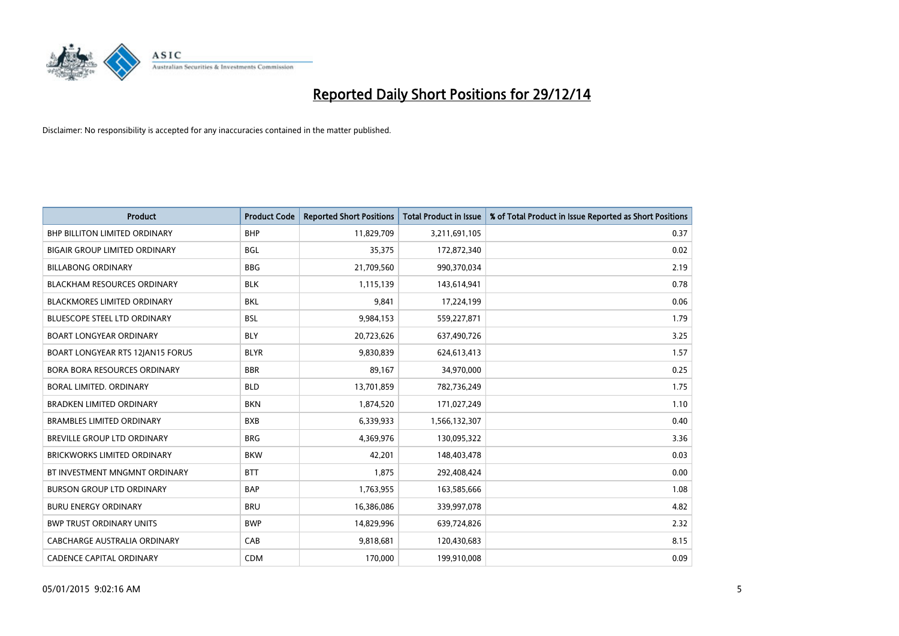

| <b>Product</b>                       | <b>Product Code</b> | <b>Reported Short Positions</b> | <b>Total Product in Issue</b> | % of Total Product in Issue Reported as Short Positions |
|--------------------------------------|---------------------|---------------------------------|-------------------------------|---------------------------------------------------------|
| <b>BHP BILLITON LIMITED ORDINARY</b> | <b>BHP</b>          | 11,829,709                      | 3,211,691,105                 | 0.37                                                    |
| <b>BIGAIR GROUP LIMITED ORDINARY</b> | <b>BGL</b>          | 35,375                          | 172,872,340                   | 0.02                                                    |
| <b>BILLABONG ORDINARY</b>            | <b>BBG</b>          | 21,709,560                      | 990,370,034                   | 2.19                                                    |
| <b>BLACKHAM RESOURCES ORDINARY</b>   | <b>BLK</b>          | 1,115,139                       | 143,614,941                   | 0.78                                                    |
| <b>BLACKMORES LIMITED ORDINARY</b>   | <b>BKL</b>          | 9,841                           | 17,224,199                    | 0.06                                                    |
| <b>BLUESCOPE STEEL LTD ORDINARY</b>  | <b>BSL</b>          | 9,984,153                       | 559,227,871                   | 1.79                                                    |
| <b>BOART LONGYEAR ORDINARY</b>       | <b>BLY</b>          | 20,723,626                      | 637,490,726                   | 3.25                                                    |
| BOART LONGYEAR RTS 12JAN15 FORUS     | <b>BLYR</b>         | 9,830,839                       | 624,613,413                   | 1.57                                                    |
| <b>BORA BORA RESOURCES ORDINARY</b>  | <b>BBR</b>          | 89,167                          | 34,970,000                    | 0.25                                                    |
| <b>BORAL LIMITED, ORDINARY</b>       | <b>BLD</b>          | 13,701,859                      | 782,736,249                   | 1.75                                                    |
| <b>BRADKEN LIMITED ORDINARY</b>      | <b>BKN</b>          | 1,874,520                       | 171,027,249                   | 1.10                                                    |
| <b>BRAMBLES LIMITED ORDINARY</b>     | <b>BXB</b>          | 6,339,933                       | 1,566,132,307                 | 0.40                                                    |
| BREVILLE GROUP LTD ORDINARY          | <b>BRG</b>          | 4,369,976                       | 130,095,322                   | 3.36                                                    |
| <b>BRICKWORKS LIMITED ORDINARY</b>   | <b>BKW</b>          | 42,201                          | 148,403,478                   | 0.03                                                    |
| BT INVESTMENT MNGMNT ORDINARY        | <b>BTT</b>          | 1,875                           | 292,408,424                   | 0.00                                                    |
| <b>BURSON GROUP LTD ORDINARY</b>     | <b>BAP</b>          | 1,763,955                       | 163,585,666                   | 1.08                                                    |
| <b>BURU ENERGY ORDINARY</b>          | <b>BRU</b>          | 16,386,086                      | 339,997,078                   | 4.82                                                    |
| <b>BWP TRUST ORDINARY UNITS</b>      | <b>BWP</b>          | 14,829,996                      | 639,724,826                   | 2.32                                                    |
| <b>CABCHARGE AUSTRALIA ORDINARY</b>  | CAB                 | 9,818,681                       | 120,430,683                   | 8.15                                                    |
| <b>CADENCE CAPITAL ORDINARY</b>      | <b>CDM</b>          | 170,000                         | 199,910,008                   | 0.09                                                    |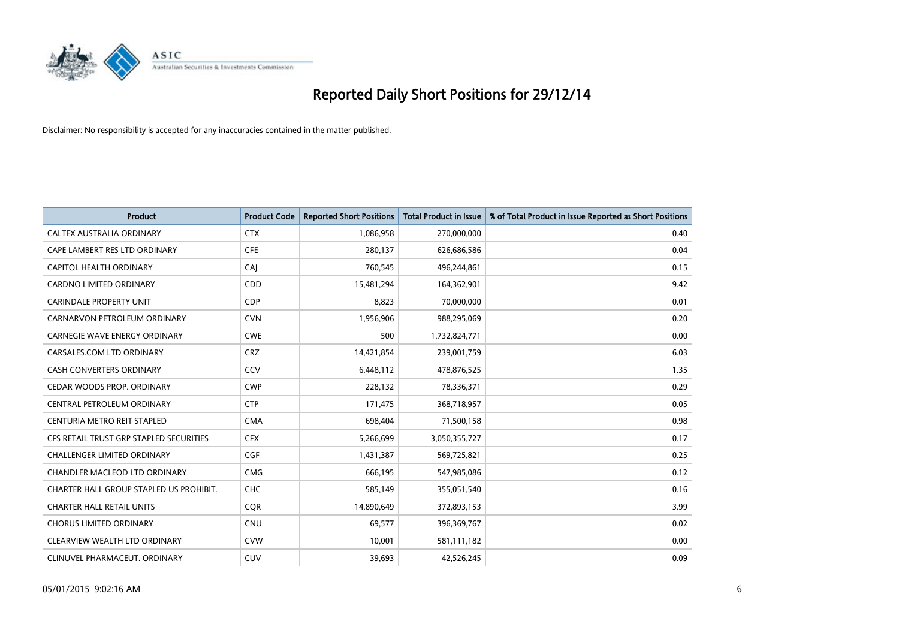

| <b>Product</b>                          | <b>Product Code</b> | <b>Reported Short Positions</b> | <b>Total Product in Issue</b> | % of Total Product in Issue Reported as Short Positions |
|-----------------------------------------|---------------------|---------------------------------|-------------------------------|---------------------------------------------------------|
| CALTEX AUSTRALIA ORDINARY               | <b>CTX</b>          | 1,086,958                       | 270,000,000                   | 0.40                                                    |
| CAPE LAMBERT RES LTD ORDINARY           | <b>CFE</b>          | 280,137                         | 626,686,586                   | 0.04                                                    |
| CAPITOL HEALTH ORDINARY                 | <b>CAJ</b>          | 760,545                         | 496,244,861                   | 0.15                                                    |
| <b>CARDNO LIMITED ORDINARY</b>          | CDD                 | 15,481,294                      | 164,362,901                   | 9.42                                                    |
| <b>CARINDALE PROPERTY UNIT</b>          | <b>CDP</b>          | 8,823                           | 70,000,000                    | 0.01                                                    |
| CARNARVON PETROLEUM ORDINARY            | <b>CVN</b>          | 1,956,906                       | 988,295,069                   | 0.20                                                    |
| CARNEGIE WAVE ENERGY ORDINARY           | <b>CWE</b>          | 500                             | 1,732,824,771                 | 0.00                                                    |
| CARSALES.COM LTD ORDINARY               | <b>CRZ</b>          | 14,421,854                      | 239,001,759                   | 6.03                                                    |
| <b>CASH CONVERTERS ORDINARY</b>         | CCV                 | 6,448,112                       | 478,876,525                   | 1.35                                                    |
| CEDAR WOODS PROP. ORDINARY              | <b>CWP</b>          | 228,132                         | 78,336,371                    | 0.29                                                    |
| CENTRAL PETROLEUM ORDINARY              | <b>CTP</b>          | 171,475                         | 368,718,957                   | 0.05                                                    |
| CENTURIA METRO REIT STAPLED             | <b>CMA</b>          | 698,404                         | 71,500,158                    | 0.98                                                    |
| CFS RETAIL TRUST GRP STAPLED SECURITIES | <b>CFX</b>          | 5,266,699                       | 3,050,355,727                 | 0.17                                                    |
| <b>CHALLENGER LIMITED ORDINARY</b>      | <b>CGF</b>          | 1,431,387                       | 569,725,821                   | 0.25                                                    |
| <b>CHANDLER MACLEOD LTD ORDINARY</b>    | <b>CMG</b>          | 666,195                         | 547,985,086                   | 0.12                                                    |
| CHARTER HALL GROUP STAPLED US PROHIBIT. | <b>CHC</b>          | 585,149                         | 355,051,540                   | 0.16                                                    |
| <b>CHARTER HALL RETAIL UNITS</b>        | <b>CQR</b>          | 14,890,649                      | 372,893,153                   | 3.99                                                    |
| <b>CHORUS LIMITED ORDINARY</b>          | <b>CNU</b>          | 69,577                          | 396,369,767                   | 0.02                                                    |
| CLEARVIEW WEALTH LTD ORDINARY           | <b>CVW</b>          | 10,001                          | 581,111,182                   | 0.00                                                    |
| CLINUVEL PHARMACEUT. ORDINARY           | <b>CUV</b>          | 39,693                          | 42,526,245                    | 0.09                                                    |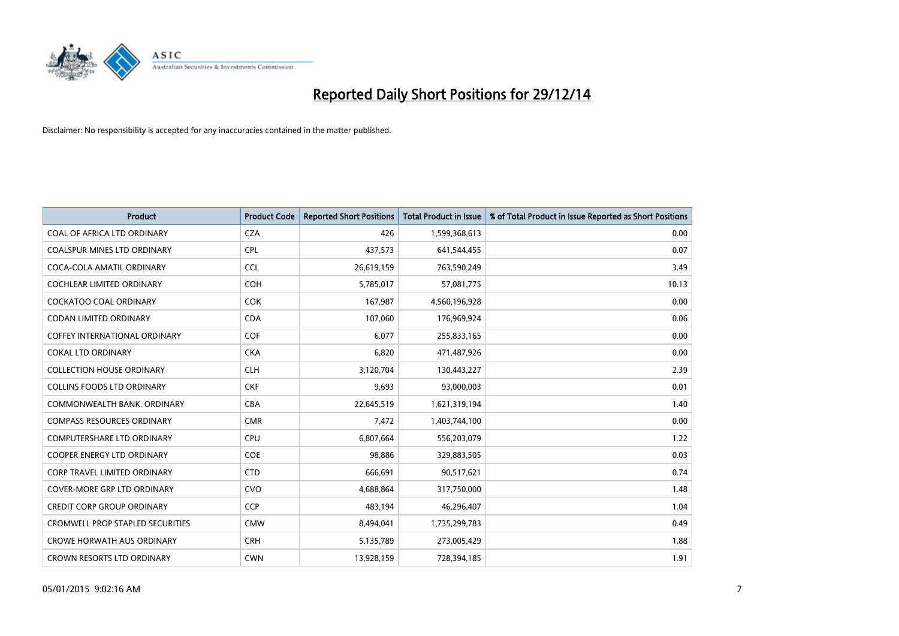

| <b>Product</b>                          | <b>Product Code</b> | <b>Reported Short Positions</b> | <b>Total Product in Issue</b> | % of Total Product in Issue Reported as Short Positions |
|-----------------------------------------|---------------------|---------------------------------|-------------------------------|---------------------------------------------------------|
| COAL OF AFRICA LTD ORDINARY             | <b>CZA</b>          | 426                             | 1,599,368,613                 | 0.00                                                    |
| COALSPUR MINES LTD ORDINARY             | <b>CPL</b>          | 437,573                         | 641,544,455                   | 0.07                                                    |
| COCA-COLA AMATIL ORDINARY               | <b>CCL</b>          | 26,619,159                      | 763,590,249                   | 3.49                                                    |
| <b>COCHLEAR LIMITED ORDINARY</b>        | <b>COH</b>          | 5,785,017                       | 57,081,775                    | 10.13                                                   |
| COCKATOO COAL ORDINARY                  | <b>COK</b>          | 167,987                         | 4,560,196,928                 | 0.00                                                    |
| <b>CODAN LIMITED ORDINARY</b>           | <b>CDA</b>          | 107,060                         | 176,969,924                   | 0.06                                                    |
| <b>COFFEY INTERNATIONAL ORDINARY</b>    | <b>COF</b>          | 6,077                           | 255,833,165                   | 0.00                                                    |
| <b>COKAL LTD ORDINARY</b>               | <b>CKA</b>          | 6,820                           | 471,487,926                   | 0.00                                                    |
| <b>COLLECTION HOUSE ORDINARY</b>        | <b>CLH</b>          | 3,120,704                       | 130,443,227                   | 2.39                                                    |
| <b>COLLINS FOODS LTD ORDINARY</b>       | <b>CKF</b>          | 9,693                           | 93,000,003                    | 0.01                                                    |
| COMMONWEALTH BANK, ORDINARY             | <b>CBA</b>          | 22,645,519                      | 1,621,319,194                 | 1.40                                                    |
| <b>COMPASS RESOURCES ORDINARY</b>       | <b>CMR</b>          | 7,472                           | 1,403,744,100                 | 0.00                                                    |
| <b>COMPUTERSHARE LTD ORDINARY</b>       | <b>CPU</b>          | 6,807,664                       | 556,203,079                   | 1.22                                                    |
| <b>COOPER ENERGY LTD ORDINARY</b>       | <b>COE</b>          | 98,886                          | 329,883,505                   | 0.03                                                    |
| <b>CORP TRAVEL LIMITED ORDINARY</b>     | <b>CTD</b>          | 666,691                         | 90,517,621                    | 0.74                                                    |
| <b>COVER-MORE GRP LTD ORDINARY</b>      | <b>CVO</b>          | 4,688,864                       | 317,750,000                   | 1.48                                                    |
| <b>CREDIT CORP GROUP ORDINARY</b>       | <b>CCP</b>          | 483,194                         | 46,296,407                    | 1.04                                                    |
| <b>CROMWELL PROP STAPLED SECURITIES</b> | <b>CMW</b>          | 8,494,041                       | 1,735,299,783                 | 0.49                                                    |
| <b>CROWE HORWATH AUS ORDINARY</b>       | <b>CRH</b>          | 5,135,789                       | 273,005,429                   | 1.88                                                    |
| <b>CROWN RESORTS LTD ORDINARY</b>       | <b>CWN</b>          | 13,928,159                      | 728,394,185                   | 1.91                                                    |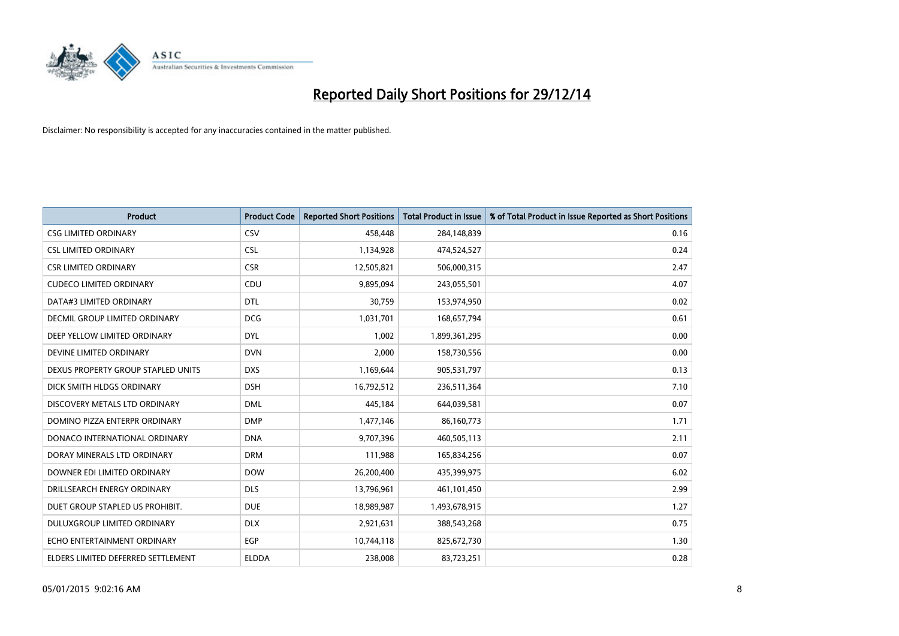

| <b>Product</b>                     | <b>Product Code</b> | <b>Reported Short Positions</b> | <b>Total Product in Issue</b> | % of Total Product in Issue Reported as Short Positions |
|------------------------------------|---------------------|---------------------------------|-------------------------------|---------------------------------------------------------|
| <b>CSG LIMITED ORDINARY</b>        | CSV                 | 458,448                         | 284,148,839                   | 0.16                                                    |
| <b>CSL LIMITED ORDINARY</b>        | <b>CSL</b>          | 1,134,928                       | 474,524,527                   | 0.24                                                    |
| <b>CSR LIMITED ORDINARY</b>        | <b>CSR</b>          | 12,505,821                      | 506,000,315                   | 2.47                                                    |
| <b>CUDECO LIMITED ORDINARY</b>     | CDU                 | 9,895,094                       | 243,055,501                   | 4.07                                                    |
| DATA#3 LIMITED ORDINARY            | <b>DTL</b>          | 30,759                          | 153,974,950                   | 0.02                                                    |
| DECMIL GROUP LIMITED ORDINARY      | <b>DCG</b>          | 1,031,701                       | 168,657,794                   | 0.61                                                    |
| DEEP YELLOW LIMITED ORDINARY       | <b>DYL</b>          | 1,002                           | 1,899,361,295                 | 0.00                                                    |
| DEVINE LIMITED ORDINARY            | <b>DVN</b>          | 2,000                           | 158,730,556                   | 0.00                                                    |
| DEXUS PROPERTY GROUP STAPLED UNITS | <b>DXS</b>          | 1,169,644                       | 905,531,797                   | 0.13                                                    |
| DICK SMITH HLDGS ORDINARY          | <b>DSH</b>          | 16,792,512                      | 236,511,364                   | 7.10                                                    |
| DISCOVERY METALS LTD ORDINARY      | <b>DML</b>          | 445,184                         | 644,039,581                   | 0.07                                                    |
| DOMINO PIZZA ENTERPR ORDINARY      | <b>DMP</b>          | 1,477,146                       | 86,160,773                    | 1.71                                                    |
| DONACO INTERNATIONAL ORDINARY      | <b>DNA</b>          | 9,707,396                       | 460,505,113                   | 2.11                                                    |
| DORAY MINERALS LTD ORDINARY        | <b>DRM</b>          | 111,988                         | 165,834,256                   | 0.07                                                    |
| DOWNER EDI LIMITED ORDINARY        | <b>DOW</b>          | 26,200,400                      | 435,399,975                   | 6.02                                                    |
| DRILLSEARCH ENERGY ORDINARY        | <b>DLS</b>          | 13,796,961                      | 461,101,450                   | 2.99                                                    |
| DUET GROUP STAPLED US PROHIBIT.    | <b>DUE</b>          | 18,989,987                      | 1,493,678,915                 | 1.27                                                    |
| DULUXGROUP LIMITED ORDINARY        | <b>DLX</b>          | 2,921,631                       | 388,543,268                   | 0.75                                                    |
| ECHO ENTERTAINMENT ORDINARY        | <b>EGP</b>          | 10,744,118                      | 825,672,730                   | 1.30                                                    |
| ELDERS LIMITED DEFERRED SETTLEMENT | <b>ELDDA</b>        | 238,008                         | 83,723,251                    | 0.28                                                    |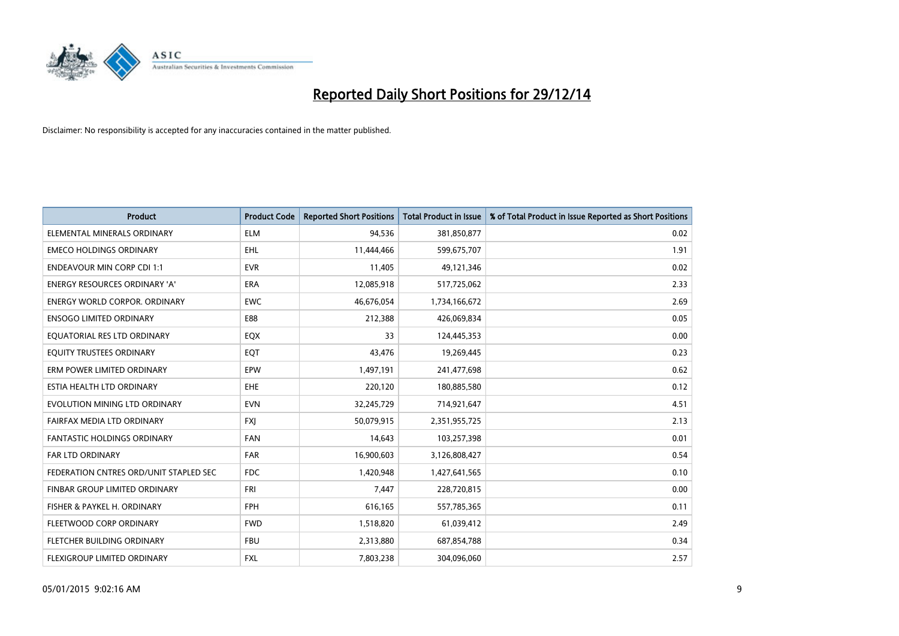

| <b>Product</b>                         | <b>Product Code</b> | <b>Reported Short Positions</b> | <b>Total Product in Issue</b> | % of Total Product in Issue Reported as Short Positions |
|----------------------------------------|---------------------|---------------------------------|-------------------------------|---------------------------------------------------------|
| ELEMENTAL MINERALS ORDINARY            | <b>ELM</b>          | 94,536                          | 381,850,877                   | 0.02                                                    |
| <b>EMECO HOLDINGS ORDINARY</b>         | EHL                 | 11,444,466                      | 599,675,707                   | 1.91                                                    |
| <b>ENDEAVOUR MIN CORP CDI 1:1</b>      | <b>EVR</b>          | 11,405                          | 49,121,346                    | 0.02                                                    |
| ENERGY RESOURCES ORDINARY 'A'          | <b>ERA</b>          | 12,085,918                      | 517,725,062                   | 2.33                                                    |
| <b>ENERGY WORLD CORPOR, ORDINARY</b>   | <b>EWC</b>          | 46,676,054                      | 1,734,166,672                 | 2.69                                                    |
| <b>ENSOGO LIMITED ORDINARY</b>         | E88                 | 212,388                         | 426,069,834                   | 0.05                                                    |
| EQUATORIAL RES LTD ORDINARY            | EQX                 | 33                              | 124,445,353                   | 0.00                                                    |
| EQUITY TRUSTEES ORDINARY               | EQT                 | 43,476                          | 19,269,445                    | 0.23                                                    |
| ERM POWER LIMITED ORDINARY             | EPW                 | 1,497,191                       | 241,477,698                   | 0.62                                                    |
| ESTIA HEALTH LTD ORDINARY              | <b>EHE</b>          | 220,120                         | 180,885,580                   | 0.12                                                    |
| EVOLUTION MINING LTD ORDINARY          | <b>EVN</b>          | 32,245,729                      | 714,921,647                   | 4.51                                                    |
| FAIRFAX MEDIA LTD ORDINARY             | FXJ                 | 50,079,915                      | 2,351,955,725                 | 2.13                                                    |
| FANTASTIC HOLDINGS ORDINARY            | <b>FAN</b>          | 14,643                          | 103,257,398                   | 0.01                                                    |
| <b>FAR LTD ORDINARY</b>                | FAR                 | 16,900,603                      | 3,126,808,427                 | 0.54                                                    |
| FEDERATION CNTRES ORD/UNIT STAPLED SEC | <b>FDC</b>          | 1,420,948                       | 1,427,641,565                 | 0.10                                                    |
| FINBAR GROUP LIMITED ORDINARY          | <b>FRI</b>          | 7,447                           | 228,720,815                   | 0.00                                                    |
| FISHER & PAYKEL H. ORDINARY            | FPH                 | 616,165                         | 557,785,365                   | 0.11                                                    |
| FLEETWOOD CORP ORDINARY                | <b>FWD</b>          | 1,518,820                       | 61,039,412                    | 2.49                                                    |
| FLETCHER BUILDING ORDINARY             | <b>FBU</b>          | 2,313,880                       | 687,854,788                   | 0.34                                                    |
| FLEXIGROUP LIMITED ORDINARY            | FXL                 | 7,803,238                       | 304,096,060                   | 2.57                                                    |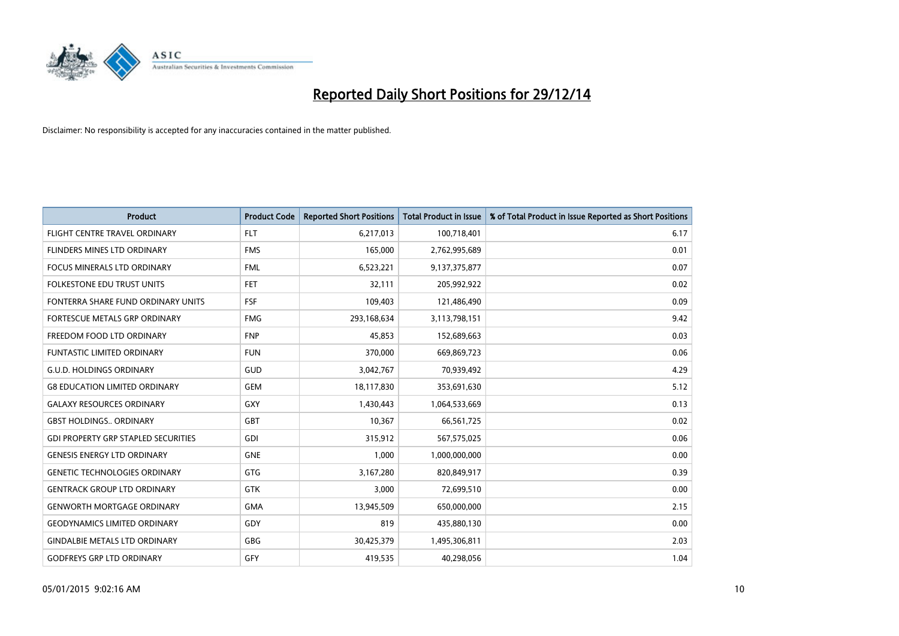

| <b>Product</b>                             | <b>Product Code</b> | <b>Reported Short Positions</b> | <b>Total Product in Issue</b> | % of Total Product in Issue Reported as Short Positions |
|--------------------------------------------|---------------------|---------------------------------|-------------------------------|---------------------------------------------------------|
| FLIGHT CENTRE TRAVEL ORDINARY              | <b>FLT</b>          | 6,217,013                       | 100,718,401                   | 6.17                                                    |
| FLINDERS MINES LTD ORDINARY                | <b>FMS</b>          | 165,000                         | 2,762,995,689                 | 0.01                                                    |
| <b>FOCUS MINERALS LTD ORDINARY</b>         | <b>FML</b>          | 6,523,221                       | 9,137,375,877                 | 0.07                                                    |
| FOLKESTONE EDU TRUST UNITS                 | <b>FET</b>          | 32,111                          | 205,992,922                   | 0.02                                                    |
| FONTERRA SHARE FUND ORDINARY UNITS         | <b>FSF</b>          | 109,403                         | 121,486,490                   | 0.09                                                    |
| FORTESCUE METALS GRP ORDINARY              | <b>FMG</b>          | 293,168,634                     | 3,113,798,151                 | 9.42                                                    |
| FREEDOM FOOD LTD ORDINARY                  | <b>FNP</b>          | 45,853                          | 152,689,663                   | 0.03                                                    |
| <b>FUNTASTIC LIMITED ORDINARY</b>          | <b>FUN</b>          | 370,000                         | 669,869,723                   | 0.06                                                    |
| <b>G.U.D. HOLDINGS ORDINARY</b>            | GUD                 | 3,042,767                       | 70,939,492                    | 4.29                                                    |
| <b>G8 EDUCATION LIMITED ORDINARY</b>       | <b>GEM</b>          | 18,117,830                      | 353,691,630                   | 5.12                                                    |
| <b>GALAXY RESOURCES ORDINARY</b>           | <b>GXY</b>          | 1,430,443                       | 1,064,533,669                 | 0.13                                                    |
| <b>GBST HOLDINGS., ORDINARY</b>            | GBT                 | 10,367                          | 66,561,725                    | 0.02                                                    |
| <b>GDI PROPERTY GRP STAPLED SECURITIES</b> | GDI                 | 315,912                         | 567,575,025                   | 0.06                                                    |
| <b>GENESIS ENERGY LTD ORDINARY</b>         | <b>GNE</b>          | 1,000                           | 1,000,000,000                 | 0.00                                                    |
| <b>GENETIC TECHNOLOGIES ORDINARY</b>       | <b>GTG</b>          | 3,167,280                       | 820,849,917                   | 0.39                                                    |
| <b>GENTRACK GROUP LTD ORDINARY</b>         | <b>GTK</b>          | 3,000                           | 72,699,510                    | 0.00                                                    |
| <b>GENWORTH MORTGAGE ORDINARY</b>          | <b>GMA</b>          | 13,945,509                      | 650,000,000                   | 2.15                                                    |
| <b>GEODYNAMICS LIMITED ORDINARY</b>        | GDY                 | 819                             | 435,880,130                   | 0.00                                                    |
| <b>GINDALBIE METALS LTD ORDINARY</b>       | GBG                 | 30,425,379                      | 1,495,306,811                 | 2.03                                                    |
| <b>GODFREYS GRP LTD ORDINARY</b>           | GFY                 | 419,535                         | 40,298,056                    | 1.04                                                    |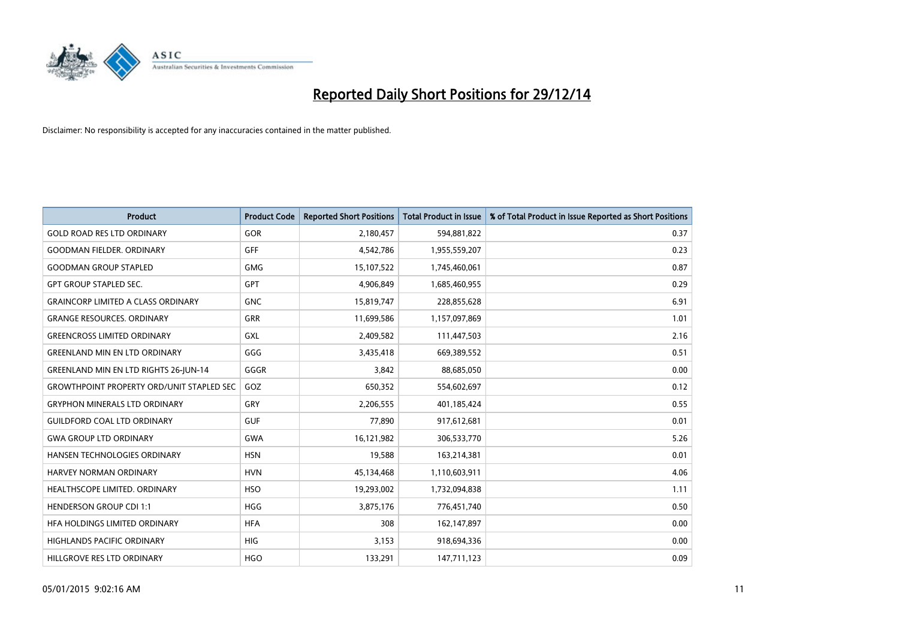

| <b>Product</b>                                   | <b>Product Code</b> | <b>Reported Short Positions</b> | <b>Total Product in Issue</b> | % of Total Product in Issue Reported as Short Positions |
|--------------------------------------------------|---------------------|---------------------------------|-------------------------------|---------------------------------------------------------|
| <b>GOLD ROAD RES LTD ORDINARY</b>                | <b>GOR</b>          | 2,180,457                       | 594,881,822                   | 0.37                                                    |
| <b>GOODMAN FIELDER, ORDINARY</b>                 | <b>GFF</b>          | 4,542,786                       | 1,955,559,207                 | 0.23                                                    |
| <b>GOODMAN GROUP STAPLED</b>                     | <b>GMG</b>          | 15,107,522                      | 1,745,460,061                 | 0.87                                                    |
| <b>GPT GROUP STAPLED SEC.</b>                    | GPT                 | 4,906,849                       | 1,685,460,955                 | 0.29                                                    |
| <b>GRAINCORP LIMITED A CLASS ORDINARY</b>        | <b>GNC</b>          | 15,819,747                      | 228,855,628                   | 6.91                                                    |
| <b>GRANGE RESOURCES, ORDINARY</b>                | <b>GRR</b>          | 11,699,586                      | 1,157,097,869                 | 1.01                                                    |
| <b>GREENCROSS LIMITED ORDINARY</b>               | GXL                 | 2,409,582                       | 111,447,503                   | 2.16                                                    |
| <b>GREENLAND MIN EN LTD ORDINARY</b>             | GGG                 | 3,435,418                       | 669,389,552                   | 0.51                                                    |
| GREENLAND MIN EN LTD RIGHTS 26-JUN-14            | GGGR                | 3,842                           | 88,685,050                    | 0.00                                                    |
| <b>GROWTHPOINT PROPERTY ORD/UNIT STAPLED SEC</b> | GOZ                 | 650,352                         | 554,602,697                   | 0.12                                                    |
| <b>GRYPHON MINERALS LTD ORDINARY</b>             | GRY                 | 2,206,555                       | 401,185,424                   | 0.55                                                    |
| <b>GUILDFORD COAL LTD ORDINARY</b>               | <b>GUF</b>          | 77,890                          | 917,612,681                   | 0.01                                                    |
| <b>GWA GROUP LTD ORDINARY</b>                    | <b>GWA</b>          | 16,121,982                      | 306,533,770                   | 5.26                                                    |
| HANSEN TECHNOLOGIES ORDINARY                     | <b>HSN</b>          | 19,588                          | 163,214,381                   | 0.01                                                    |
| <b>HARVEY NORMAN ORDINARY</b>                    | <b>HVN</b>          | 45,134,468                      | 1,110,603,911                 | 4.06                                                    |
| HEALTHSCOPE LIMITED. ORDINARY                    | <b>HSO</b>          | 19,293,002                      | 1,732,094,838                 | 1.11                                                    |
| <b>HENDERSON GROUP CDI 1:1</b>                   | <b>HGG</b>          | 3,875,176                       | 776,451,740                   | 0.50                                                    |
| HFA HOLDINGS LIMITED ORDINARY                    | <b>HFA</b>          | 308                             | 162,147,897                   | 0.00                                                    |
| <b>HIGHLANDS PACIFIC ORDINARY</b>                | <b>HIG</b>          | 3,153                           | 918,694,336                   | 0.00                                                    |
| HILLGROVE RES LTD ORDINARY                       | <b>HGO</b>          | 133,291                         | 147,711,123                   | 0.09                                                    |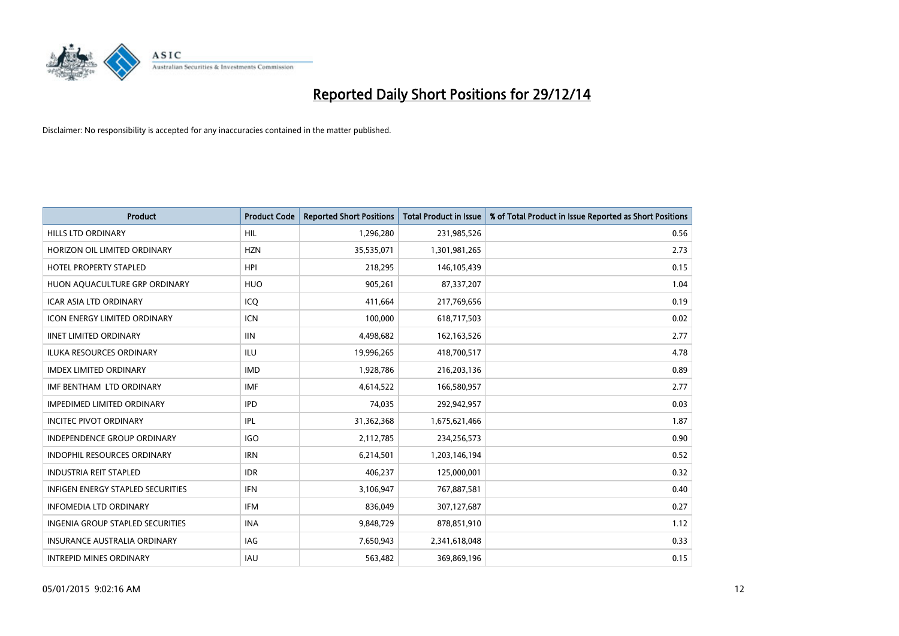

| <b>Product</b>                      | <b>Product Code</b> | <b>Reported Short Positions</b> | <b>Total Product in Issue</b> | % of Total Product in Issue Reported as Short Positions |
|-------------------------------------|---------------------|---------------------------------|-------------------------------|---------------------------------------------------------|
| <b>HILLS LTD ORDINARY</b>           | <b>HIL</b>          | 1,296,280                       | 231,985,526                   | 0.56                                                    |
| HORIZON OIL LIMITED ORDINARY        | <b>HZN</b>          | 35,535,071                      | 1,301,981,265                 | 2.73                                                    |
| <b>HOTEL PROPERTY STAPLED</b>       | <b>HPI</b>          | 218,295                         | 146,105,439                   | 0.15                                                    |
| HUON AQUACULTURE GRP ORDINARY       | <b>HUO</b>          | 905,261                         | 87,337,207                    | 1.04                                                    |
| <b>ICAR ASIA LTD ORDINARY</b>       | ICO                 | 411,664                         | 217,769,656                   | 0.19                                                    |
| <b>ICON ENERGY LIMITED ORDINARY</b> | <b>ICN</b>          | 100,000                         | 618,717,503                   | 0.02                                                    |
| <b>IINET LIMITED ORDINARY</b>       | <b>IIN</b>          | 4,498,682                       | 162, 163, 526                 | 2.77                                                    |
| ILUKA RESOURCES ORDINARY            | ILU                 | 19,996,265                      | 418,700,517                   | 4.78                                                    |
| <b>IMDEX LIMITED ORDINARY</b>       | <b>IMD</b>          | 1,928,786                       | 216,203,136                   | 0.89                                                    |
| IMF BENTHAM LTD ORDINARY            | <b>IMF</b>          | 4,614,522                       | 166,580,957                   | 2.77                                                    |
| <b>IMPEDIMED LIMITED ORDINARY</b>   | <b>IPD</b>          | 74,035                          | 292,942,957                   | 0.03                                                    |
| <b>INCITEC PIVOT ORDINARY</b>       | IPL                 | 31,362,368                      | 1,675,621,466                 | 1.87                                                    |
| INDEPENDENCE GROUP ORDINARY         | <b>IGO</b>          | 2,112,785                       | 234,256,573                   | 0.90                                                    |
| <b>INDOPHIL RESOURCES ORDINARY</b>  | <b>IRN</b>          | 6,214,501                       | 1,203,146,194                 | 0.52                                                    |
| <b>INDUSTRIA REIT STAPLED</b>       | <b>IDR</b>          | 406,237                         | 125,000,001                   | 0.32                                                    |
| INFIGEN ENERGY STAPLED SECURITIES   | <b>IFN</b>          | 3,106,947                       | 767,887,581                   | 0.40                                                    |
| <b>INFOMEDIA LTD ORDINARY</b>       | IFM                 | 836,049                         | 307,127,687                   | 0.27                                                    |
| INGENIA GROUP STAPLED SECURITIES    | <b>INA</b>          | 9,848,729                       | 878,851,910                   | 1.12                                                    |
| <b>INSURANCE AUSTRALIA ORDINARY</b> | IAG                 | 7,650,943                       | 2,341,618,048                 | 0.33                                                    |
| <b>INTREPID MINES ORDINARY</b>      | IAU                 | 563,482                         | 369,869,196                   | 0.15                                                    |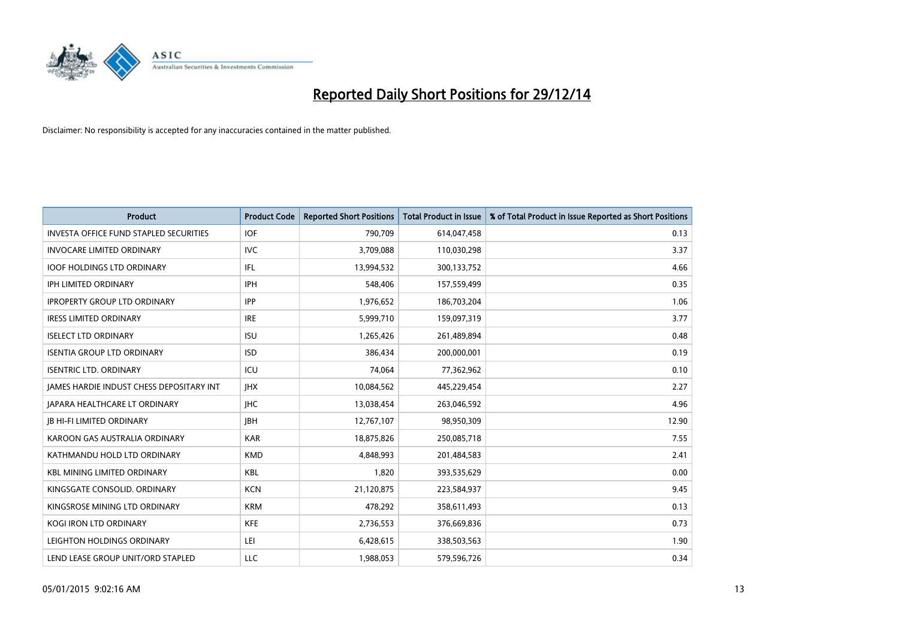

| <b>Product</b>                                  | <b>Product Code</b> | <b>Reported Short Positions</b> | <b>Total Product in Issue</b> | % of Total Product in Issue Reported as Short Positions |
|-------------------------------------------------|---------------------|---------------------------------|-------------------------------|---------------------------------------------------------|
| <b>INVESTA OFFICE FUND STAPLED SECURITIES</b>   | <b>IOF</b>          | 790,709                         | 614,047,458                   | 0.13                                                    |
| <b>INVOCARE LIMITED ORDINARY</b>                | <b>IVC</b>          | 3,709,088                       | 110,030,298                   | 3.37                                                    |
| <b>IOOF HOLDINGS LTD ORDINARY</b>               | IFL                 | 13,994,532                      | 300,133,752                   | 4.66                                                    |
| IPH LIMITED ORDINARY                            | <b>IPH</b>          | 548,406                         | 157,559,499                   | 0.35                                                    |
| <b>IPROPERTY GROUP LTD ORDINARY</b>             | <b>IPP</b>          | 1,976,652                       | 186,703,204                   | 1.06                                                    |
| <b>IRESS LIMITED ORDINARY</b>                   | <b>IRE</b>          | 5,999,710                       | 159,097,319                   | 3.77                                                    |
| <b>ISELECT LTD ORDINARY</b>                     | <b>ISU</b>          | 1,265,426                       | 261,489,894                   | 0.48                                                    |
| <b>ISENTIA GROUP LTD ORDINARY</b>               | <b>ISD</b>          | 386,434                         | 200,000,001                   | 0.19                                                    |
| <b>ISENTRIC LTD. ORDINARY</b>                   | ICU                 | 74,064                          | 77,362,962                    | 0.10                                                    |
| <b>JAMES HARDIE INDUST CHESS DEPOSITARY INT</b> | <b>IHX</b>          | 10,084,562                      | 445,229,454                   | 2.27                                                    |
| JAPARA HEALTHCARE LT ORDINARY                   | <b>IHC</b>          | 13,038,454                      | 263,046,592                   | 4.96                                                    |
| <b>IB HI-FI LIMITED ORDINARY</b>                | <b>IBH</b>          | 12,767,107                      | 98,950,309                    | 12.90                                                   |
| KAROON GAS AUSTRALIA ORDINARY                   | <b>KAR</b>          | 18,875,826                      | 250,085,718                   | 7.55                                                    |
| KATHMANDU HOLD LTD ORDINARY                     | <b>KMD</b>          | 4,848,993                       | 201,484,583                   | 2.41                                                    |
| <b>KBL MINING LIMITED ORDINARY</b>              | <b>KBL</b>          | 1,820                           | 393,535,629                   | 0.00                                                    |
| KINGSGATE CONSOLID. ORDINARY                    | <b>KCN</b>          | 21,120,875                      | 223,584,937                   | 9.45                                                    |
| KINGSROSE MINING LTD ORDINARY                   | <b>KRM</b>          | 478,292                         | 358,611,493                   | 0.13                                                    |
| <b>KOGI IRON LTD ORDINARY</b>                   | <b>KFE</b>          | 2,736,553                       | 376,669,836                   | 0.73                                                    |
| LEIGHTON HOLDINGS ORDINARY                      | LEI                 | 6,428,615                       | 338,503,563                   | 1.90                                                    |
| LEND LEASE GROUP UNIT/ORD STAPLED               | LLC                 | 1,988,053                       | 579,596,726                   | 0.34                                                    |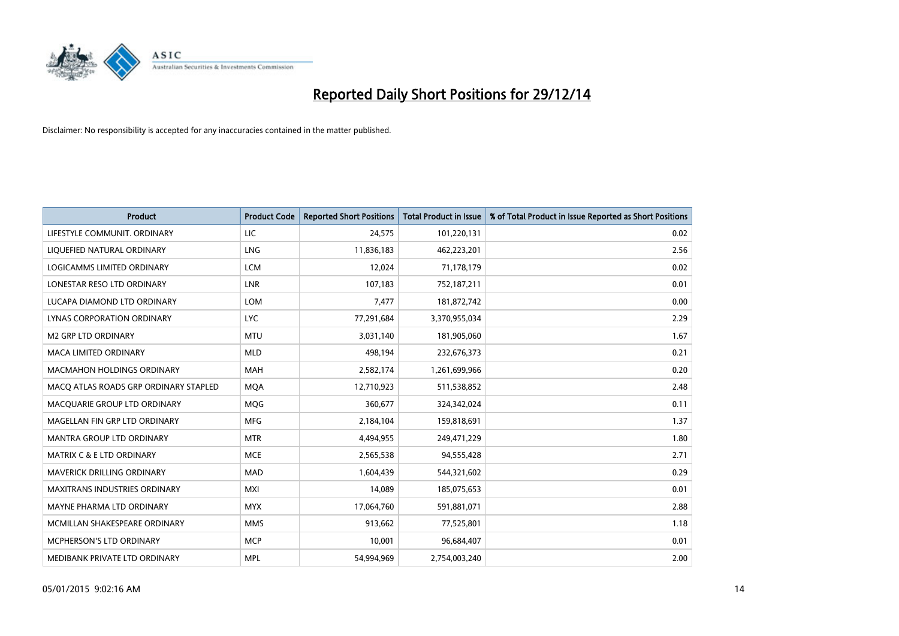

| <b>Product</b>                        | <b>Product Code</b> | <b>Reported Short Positions</b> | <b>Total Product in Issue</b> | % of Total Product in Issue Reported as Short Positions |
|---------------------------------------|---------------------|---------------------------------|-------------------------------|---------------------------------------------------------|
| LIFESTYLE COMMUNIT, ORDINARY          | LIC                 | 24,575                          | 101,220,131                   | 0.02                                                    |
| LIQUEFIED NATURAL ORDINARY            | <b>LNG</b>          | 11,836,183                      | 462,223,201                   | 2.56                                                    |
| LOGICAMMS LIMITED ORDINARY            | <b>LCM</b>          | 12,024                          | 71,178,179                    | 0.02                                                    |
| LONESTAR RESO LTD ORDINARY            | <b>LNR</b>          | 107,183                         | 752,187,211                   | 0.01                                                    |
| LUCAPA DIAMOND LTD ORDINARY           | <b>LOM</b>          | 7,477                           | 181,872,742                   | 0.00                                                    |
| LYNAS CORPORATION ORDINARY            | <b>LYC</b>          | 77,291,684                      | 3,370,955,034                 | 2.29                                                    |
| M2 GRP LTD ORDINARY                   | <b>MTU</b>          | 3,031,140                       | 181,905,060                   | 1.67                                                    |
| MACA LIMITED ORDINARY                 | <b>MLD</b>          | 498,194                         | 232,676,373                   | 0.21                                                    |
| <b>MACMAHON HOLDINGS ORDINARY</b>     | <b>MAH</b>          | 2,582,174                       | 1,261,699,966                 | 0.20                                                    |
| MACO ATLAS ROADS GRP ORDINARY STAPLED | <b>MQA</b>          | 12,710,923                      | 511,538,852                   | 2.48                                                    |
| MACQUARIE GROUP LTD ORDINARY          | <b>MQG</b>          | 360,677                         | 324,342,024                   | 0.11                                                    |
| MAGELLAN FIN GRP LTD ORDINARY         | <b>MFG</b>          | 2,184,104                       | 159,818,691                   | 1.37                                                    |
| <b>MANTRA GROUP LTD ORDINARY</b>      | <b>MTR</b>          | 4,494,955                       | 249,471,229                   | 1.80                                                    |
| <b>MATRIX C &amp; E LTD ORDINARY</b>  | <b>MCE</b>          | 2,565,538                       | 94,555,428                    | 2.71                                                    |
| MAVERICK DRILLING ORDINARY            | <b>MAD</b>          | 1,604,439                       | 544,321,602                   | 0.29                                                    |
| MAXITRANS INDUSTRIES ORDINARY         | <b>MXI</b>          | 14,089                          | 185,075,653                   | 0.01                                                    |
| MAYNE PHARMA LTD ORDINARY             | <b>MYX</b>          | 17,064,760                      | 591,881,071                   | 2.88                                                    |
| MCMILLAN SHAKESPEARE ORDINARY         | <b>MMS</b>          | 913,662                         | 77,525,801                    | 1.18                                                    |
| <b>MCPHERSON'S LTD ORDINARY</b>       | <b>MCP</b>          | 10,001                          | 96,684,407                    | 0.01                                                    |
| MEDIBANK PRIVATE LTD ORDINARY         | <b>MPL</b>          | 54,994,969                      | 2,754,003,240                 | 2.00                                                    |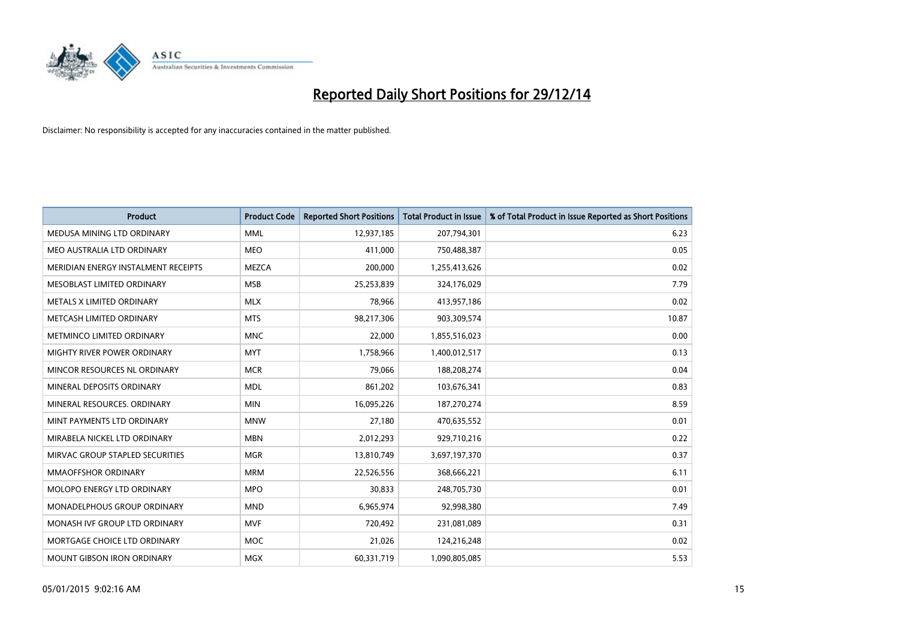

| <b>Product</b>                      | <b>Product Code</b> | <b>Reported Short Positions</b> | <b>Total Product in Issue</b> | % of Total Product in Issue Reported as Short Positions |
|-------------------------------------|---------------------|---------------------------------|-------------------------------|---------------------------------------------------------|
| MEDUSA MINING LTD ORDINARY          | <b>MML</b>          | 12,937,185                      | 207,794,301                   | 6.23                                                    |
| MEO AUSTRALIA LTD ORDINARY          | <b>MEO</b>          | 411,000                         | 750,488,387                   | 0.05                                                    |
| MERIDIAN ENERGY INSTALMENT RECEIPTS | <b>MEZCA</b>        | 200,000                         | 1,255,413,626                 | 0.02                                                    |
| MESOBLAST LIMITED ORDINARY          | <b>MSB</b>          | 25,253,839                      | 324,176,029                   | 7.79                                                    |
| METALS X LIMITED ORDINARY           | <b>MLX</b>          | 78,966                          | 413,957,186                   | 0.02                                                    |
| METCASH LIMITED ORDINARY            | <b>MTS</b>          | 98,217,306                      | 903,309,574                   | 10.87                                                   |
| METMINCO LIMITED ORDINARY           | <b>MNC</b>          | 22,000                          | 1,855,516,023                 | 0.00                                                    |
| MIGHTY RIVER POWER ORDINARY         | <b>MYT</b>          | 1,758,966                       | 1,400,012,517                 | 0.13                                                    |
| MINCOR RESOURCES NL ORDINARY        | <b>MCR</b>          | 79,066                          | 188,208,274                   | 0.04                                                    |
| MINERAL DEPOSITS ORDINARY           | <b>MDL</b>          | 861,202                         | 103,676,341                   | 0.83                                                    |
| MINERAL RESOURCES. ORDINARY         | <b>MIN</b>          | 16,095,226                      | 187,270,274                   | 8.59                                                    |
| MINT PAYMENTS LTD ORDINARY          | <b>MNW</b>          | 27,180                          | 470,635,552                   | 0.01                                                    |
| MIRABELA NICKEL LTD ORDINARY        | <b>MBN</b>          | 2,012,293                       | 929,710,216                   | 0.22                                                    |
| MIRVAC GROUP STAPLED SECURITIES     | <b>MGR</b>          | 13,810,749                      | 3,697,197,370                 | 0.37                                                    |
| <b>MMAOFFSHOR ORDINARY</b>          | <b>MRM</b>          | 22,526,556                      | 368,666,221                   | 6.11                                                    |
| MOLOPO ENERGY LTD ORDINARY          | <b>MPO</b>          | 30,833                          | 248,705,730                   | 0.01                                                    |
| MONADELPHOUS GROUP ORDINARY         | <b>MND</b>          | 6,965,974                       | 92,998,380                    | 7.49                                                    |
| MONASH IVF GROUP LTD ORDINARY       | <b>MVF</b>          | 720,492                         | 231,081,089                   | 0.31                                                    |
| MORTGAGE CHOICE LTD ORDINARY        | <b>MOC</b>          | 21,026                          | 124,216,248                   | 0.02                                                    |
| <b>MOUNT GIBSON IRON ORDINARY</b>   | <b>MGX</b>          | 60,331,719                      | 1,090,805,085                 | 5.53                                                    |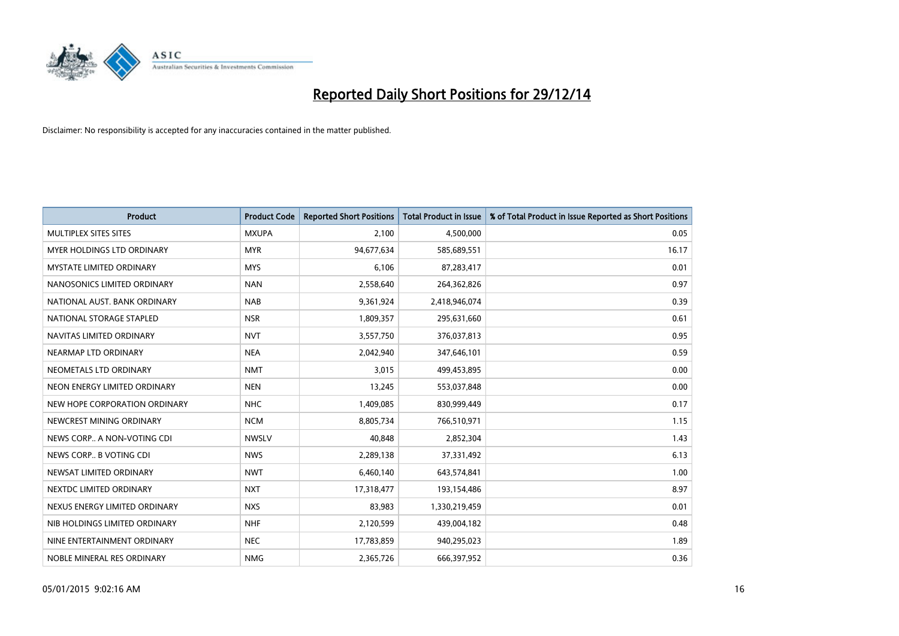

| <b>Product</b>                | <b>Product Code</b> | <b>Reported Short Positions</b> | <b>Total Product in Issue</b> | % of Total Product in Issue Reported as Short Positions |
|-------------------------------|---------------------|---------------------------------|-------------------------------|---------------------------------------------------------|
| MULTIPLEX SITES SITES         | <b>MXUPA</b>        | 2,100                           | 4,500,000                     | 0.05                                                    |
| MYER HOLDINGS LTD ORDINARY    | <b>MYR</b>          | 94,677,634                      | 585,689,551                   | 16.17                                                   |
| MYSTATE LIMITED ORDINARY      | <b>MYS</b>          | 6,106                           | 87,283,417                    | 0.01                                                    |
| NANOSONICS LIMITED ORDINARY   | <b>NAN</b>          | 2,558,640                       | 264,362,826                   | 0.97                                                    |
| NATIONAL AUST, BANK ORDINARY  | <b>NAB</b>          | 9,361,924                       | 2,418,946,074                 | 0.39                                                    |
| NATIONAL STORAGE STAPLED      | <b>NSR</b>          | 1,809,357                       | 295,631,660                   | 0.61                                                    |
| NAVITAS LIMITED ORDINARY      | <b>NVT</b>          | 3,557,750                       | 376,037,813                   | 0.95                                                    |
| NEARMAP LTD ORDINARY          | <b>NEA</b>          | 2,042,940                       | 347,646,101                   | 0.59                                                    |
| NEOMETALS LTD ORDINARY        | <b>NMT</b>          | 3,015                           | 499,453,895                   | 0.00                                                    |
| NEON ENERGY LIMITED ORDINARY  | <b>NEN</b>          | 13,245                          | 553,037,848                   | 0.00                                                    |
| NEW HOPE CORPORATION ORDINARY | <b>NHC</b>          | 1,409,085                       | 830,999,449                   | 0.17                                                    |
| NEWCREST MINING ORDINARY      | <b>NCM</b>          | 8,805,734                       | 766,510,971                   | 1.15                                                    |
| NEWS CORP A NON-VOTING CDI    | <b>NWSLV</b>        | 40,848                          | 2,852,304                     | 1.43                                                    |
| NEWS CORP B VOTING CDI        | <b>NWS</b>          | 2,289,138                       | 37,331,492                    | 6.13                                                    |
| NEWSAT LIMITED ORDINARY       | <b>NWT</b>          | 6,460,140                       | 643,574,841                   | 1.00                                                    |
| NEXTDC LIMITED ORDINARY       | <b>NXT</b>          | 17,318,477                      | 193,154,486                   | 8.97                                                    |
| NEXUS ENERGY LIMITED ORDINARY | <b>NXS</b>          | 83,983                          | 1,330,219,459                 | 0.01                                                    |
| NIB HOLDINGS LIMITED ORDINARY | <b>NHF</b>          | 2,120,599                       | 439,004,182                   | 0.48                                                    |
| NINE ENTERTAINMENT ORDINARY   | <b>NEC</b>          | 17,783,859                      | 940,295,023                   | 1.89                                                    |
| NOBLE MINERAL RES ORDINARY    | <b>NMG</b>          | 2,365,726                       | 666,397,952                   | 0.36                                                    |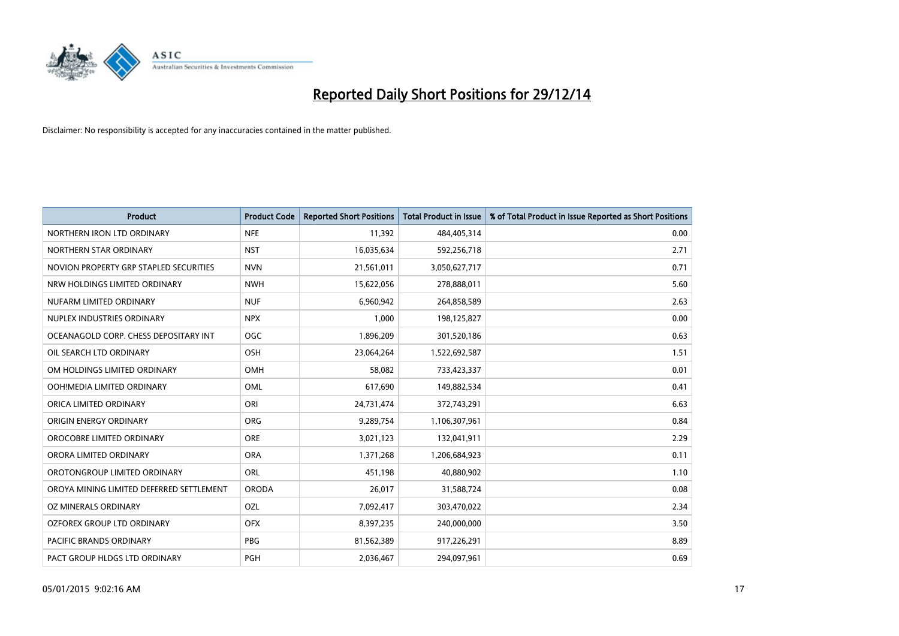

| <b>Product</b>                           | <b>Product Code</b> | <b>Reported Short Positions</b> | <b>Total Product in Issue</b> | % of Total Product in Issue Reported as Short Positions |
|------------------------------------------|---------------------|---------------------------------|-------------------------------|---------------------------------------------------------|
| NORTHERN IRON LTD ORDINARY               | <b>NFE</b>          | 11,392                          | 484,405,314                   | 0.00                                                    |
| NORTHERN STAR ORDINARY                   | <b>NST</b>          | 16,035,634                      | 592,256,718                   | 2.71                                                    |
| NOVION PROPERTY GRP STAPLED SECURITIES   | <b>NVN</b>          | 21,561,011                      | 3,050,627,717                 | 0.71                                                    |
| NRW HOLDINGS LIMITED ORDINARY            | <b>NWH</b>          | 15,622,056                      | 278,888,011                   | 5.60                                                    |
| NUFARM LIMITED ORDINARY                  | <b>NUF</b>          | 6,960,942                       | 264,858,589                   | 2.63                                                    |
| NUPLEX INDUSTRIES ORDINARY               | <b>NPX</b>          | 1,000                           | 198,125,827                   | 0.00                                                    |
| OCEANAGOLD CORP. CHESS DEPOSITARY INT    | OGC                 | 1,896,209                       | 301,520,186                   | 0.63                                                    |
| OIL SEARCH LTD ORDINARY                  | OSH                 | 23,064,264                      | 1,522,692,587                 | 1.51                                                    |
| OM HOLDINGS LIMITED ORDINARY             | OMH                 | 58.082                          | 733,423,337                   | 0.01                                                    |
| OOH!MEDIA LIMITED ORDINARY               | OML                 | 617,690                         | 149,882,534                   | 0.41                                                    |
| ORICA LIMITED ORDINARY                   | ORI                 | 24,731,474                      | 372,743,291                   | 6.63                                                    |
| ORIGIN ENERGY ORDINARY                   | <b>ORG</b>          | 9,289,754                       | 1,106,307,961                 | 0.84                                                    |
| OROCOBRE LIMITED ORDINARY                | <b>ORE</b>          | 3,021,123                       | 132,041,911                   | 2.29                                                    |
| ORORA LIMITED ORDINARY                   | <b>ORA</b>          | 1,371,268                       | 1,206,684,923                 | 0.11                                                    |
| OROTONGROUP LIMITED ORDINARY             | <b>ORL</b>          | 451,198                         | 40,880,902                    | 1.10                                                    |
| OROYA MINING LIMITED DEFERRED SETTLEMENT | <b>ORODA</b>        | 26,017                          | 31,588,724                    | 0.08                                                    |
| OZ MINERALS ORDINARY                     | OZL                 | 7,092,417                       | 303,470,022                   | 2.34                                                    |
| OZFOREX GROUP LTD ORDINARY               | <b>OFX</b>          | 8,397,235                       | 240,000,000                   | 3.50                                                    |
| <b>PACIFIC BRANDS ORDINARY</b>           | <b>PBG</b>          | 81,562,389                      | 917,226,291                   | 8.89                                                    |
| PACT GROUP HLDGS LTD ORDINARY            | <b>PGH</b>          | 2,036,467                       | 294,097,961                   | 0.69                                                    |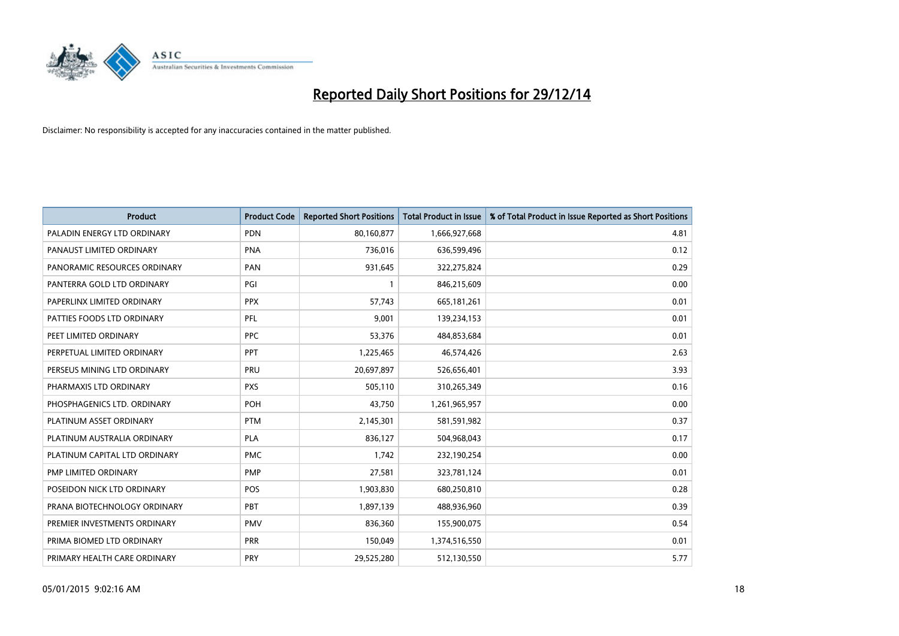

| <b>Product</b>                | <b>Product Code</b> | <b>Reported Short Positions</b> | <b>Total Product in Issue</b> | % of Total Product in Issue Reported as Short Positions |
|-------------------------------|---------------------|---------------------------------|-------------------------------|---------------------------------------------------------|
| PALADIN ENERGY LTD ORDINARY   | <b>PDN</b>          | 80,160,877                      | 1,666,927,668                 | 4.81                                                    |
| PANAUST LIMITED ORDINARY      | <b>PNA</b>          | 736,016                         | 636,599,496                   | 0.12                                                    |
| PANORAMIC RESOURCES ORDINARY  | PAN                 | 931,645                         | 322,275,824                   | 0.29                                                    |
| PANTERRA GOLD LTD ORDINARY    | PGI                 | $\mathbf{1}$                    | 846,215,609                   | 0.00                                                    |
| PAPERLINX LIMITED ORDINARY    | <b>PPX</b>          | 57,743                          | 665,181,261                   | 0.01                                                    |
| PATTIES FOODS LTD ORDINARY    | PFL                 | 9,001                           | 139,234,153                   | 0.01                                                    |
| PEET LIMITED ORDINARY         | <b>PPC</b>          | 53,376                          | 484,853,684                   | 0.01                                                    |
| PERPETUAL LIMITED ORDINARY    | PPT                 | 1,225,465                       | 46,574,426                    | 2.63                                                    |
| PERSEUS MINING LTD ORDINARY   | PRU                 | 20,697,897                      | 526,656,401                   | 3.93                                                    |
| PHARMAXIS LTD ORDINARY        | <b>PXS</b>          | 505,110                         | 310,265,349                   | 0.16                                                    |
| PHOSPHAGENICS LTD. ORDINARY   | POH                 | 43,750                          | 1,261,965,957                 | 0.00                                                    |
| PLATINUM ASSET ORDINARY       | <b>PTM</b>          | 2,145,301                       | 581,591,982                   | 0.37                                                    |
| PLATINUM AUSTRALIA ORDINARY   | <b>PLA</b>          | 836,127                         | 504,968,043                   | 0.17                                                    |
| PLATINUM CAPITAL LTD ORDINARY | <b>PMC</b>          | 1,742                           | 232,190,254                   | 0.00                                                    |
| PMP LIMITED ORDINARY          | <b>PMP</b>          | 27,581                          | 323,781,124                   | 0.01                                                    |
| POSEIDON NICK LTD ORDINARY    | POS                 | 1,903,830                       | 680,250,810                   | 0.28                                                    |
| PRANA BIOTECHNOLOGY ORDINARY  | <b>PBT</b>          | 1,897,139                       | 488,936,960                   | 0.39                                                    |
| PREMIER INVESTMENTS ORDINARY  | <b>PMV</b>          | 836,360                         | 155,900,075                   | 0.54                                                    |
| PRIMA BIOMED LTD ORDINARY     | <b>PRR</b>          | 150,049                         | 1,374,516,550                 | 0.01                                                    |
| PRIMARY HEALTH CARE ORDINARY  | <b>PRY</b>          | 29,525,280                      | 512,130,550                   | 5.77                                                    |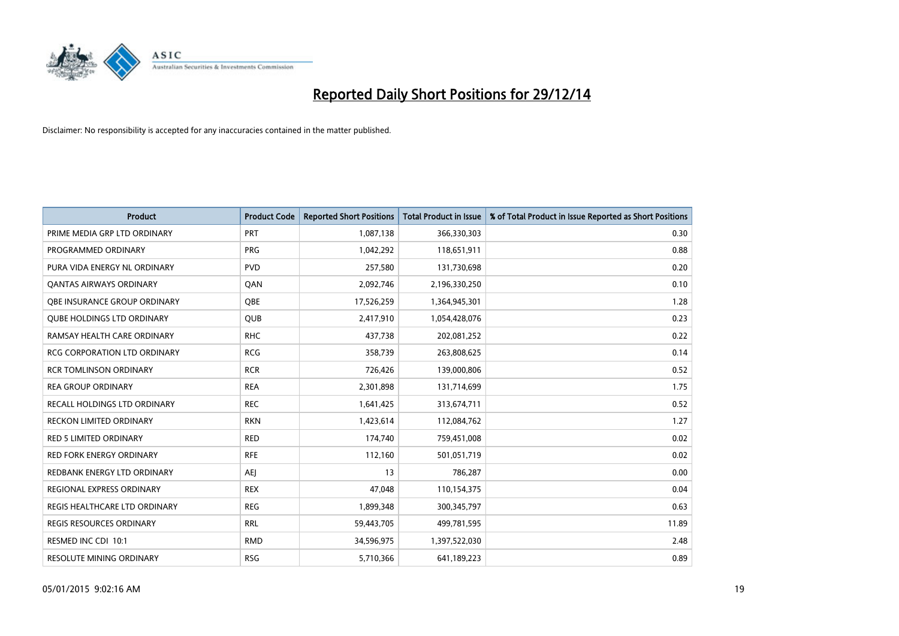

| <b>Product</b>                      | <b>Product Code</b> | <b>Reported Short Positions</b> | <b>Total Product in Issue</b> | % of Total Product in Issue Reported as Short Positions |
|-------------------------------------|---------------------|---------------------------------|-------------------------------|---------------------------------------------------------|
| PRIME MEDIA GRP LTD ORDINARY        | <b>PRT</b>          | 1,087,138                       | 366,330,303                   | 0.30                                                    |
| PROGRAMMED ORDINARY                 | <b>PRG</b>          | 1,042,292                       | 118,651,911                   | 0.88                                                    |
| PURA VIDA ENERGY NL ORDINARY        | <b>PVD</b>          | 257,580                         | 131,730,698                   | 0.20                                                    |
| <b>QANTAS AIRWAYS ORDINARY</b>      | QAN                 | 2,092,746                       | 2,196,330,250                 | 0.10                                                    |
| OBE INSURANCE GROUP ORDINARY        | OBE                 | 17,526,259                      | 1,364,945,301                 | 1.28                                                    |
| <b>QUBE HOLDINGS LTD ORDINARY</b>   | QUB                 | 2,417,910                       | 1,054,428,076                 | 0.23                                                    |
| RAMSAY HEALTH CARE ORDINARY         | <b>RHC</b>          | 437,738                         | 202,081,252                   | 0.22                                                    |
| <b>RCG CORPORATION LTD ORDINARY</b> | <b>RCG</b>          | 358,739                         | 263,808,625                   | 0.14                                                    |
| <b>RCR TOMLINSON ORDINARY</b>       | <b>RCR</b>          | 726,426                         | 139,000,806                   | 0.52                                                    |
| <b>REA GROUP ORDINARY</b>           | <b>REA</b>          | 2,301,898                       | 131,714,699                   | 1.75                                                    |
| RECALL HOLDINGS LTD ORDINARY        | <b>REC</b>          | 1,641,425                       | 313,674,711                   | 0.52                                                    |
| <b>RECKON LIMITED ORDINARY</b>      | <b>RKN</b>          | 1,423,614                       | 112,084,762                   | 1.27                                                    |
| <b>RED 5 LIMITED ORDINARY</b>       | <b>RED</b>          | 174,740                         | 759,451,008                   | 0.02                                                    |
| <b>RED FORK ENERGY ORDINARY</b>     | <b>RFE</b>          | 112,160                         | 501,051,719                   | 0.02                                                    |
| REDBANK ENERGY LTD ORDINARY         | AEJ                 | 13                              | 786,287                       | 0.00                                                    |
| REGIONAL EXPRESS ORDINARY           | <b>REX</b>          | 47,048                          | 110,154,375                   | 0.04                                                    |
| REGIS HEALTHCARE LTD ORDINARY       | <b>REG</b>          | 1,899,348                       | 300, 345, 797                 | 0.63                                                    |
| <b>REGIS RESOURCES ORDINARY</b>     | <b>RRL</b>          | 59,443,705                      | 499,781,595                   | 11.89                                                   |
| RESMED INC CDI 10:1                 | <b>RMD</b>          | 34,596,975                      | 1,397,522,030                 | 2.48                                                    |
| <b>RESOLUTE MINING ORDINARY</b>     | <b>RSG</b>          | 5,710,366                       | 641,189,223                   | 0.89                                                    |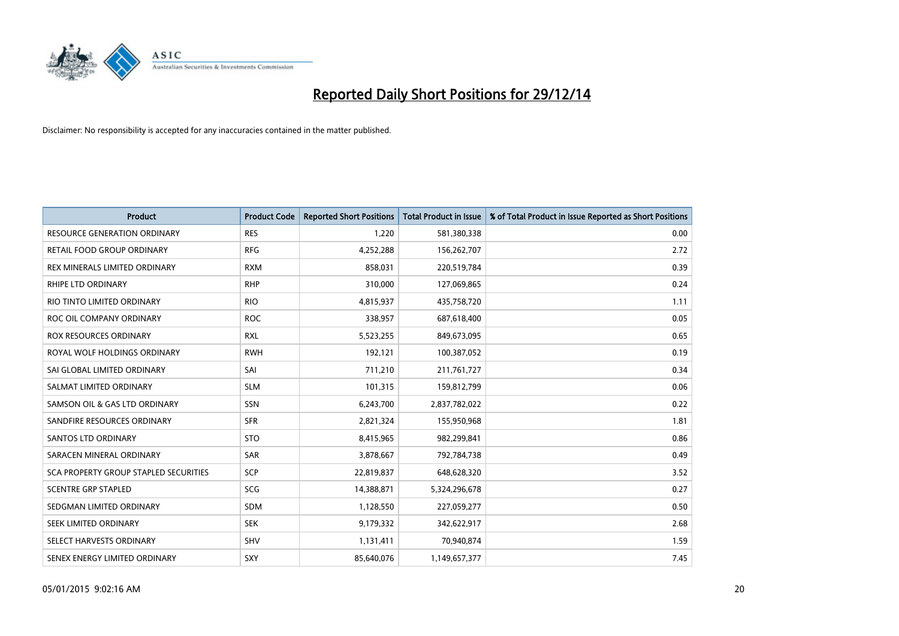

| <b>Product</b>                        | <b>Product Code</b> | <b>Reported Short Positions</b> | <b>Total Product in Issue</b> | % of Total Product in Issue Reported as Short Positions |
|---------------------------------------|---------------------|---------------------------------|-------------------------------|---------------------------------------------------------|
| <b>RESOURCE GENERATION ORDINARY</b>   | <b>RES</b>          | 1,220                           | 581,380,338                   | 0.00                                                    |
| <b>RETAIL FOOD GROUP ORDINARY</b>     | <b>RFG</b>          | 4,252,288                       | 156,262,707                   | 2.72                                                    |
| REX MINERALS LIMITED ORDINARY         | <b>RXM</b>          | 858,031                         | 220,519,784                   | 0.39                                                    |
| <b>RHIPE LTD ORDINARY</b>             | <b>RHP</b>          | 310,000                         | 127,069,865                   | 0.24                                                    |
| RIO TINTO LIMITED ORDINARY            | <b>RIO</b>          | 4,815,937                       | 435,758,720                   | 1.11                                                    |
| ROC OIL COMPANY ORDINARY              | <b>ROC</b>          | 338,957                         | 687,618,400                   | 0.05                                                    |
| ROX RESOURCES ORDINARY                | <b>RXL</b>          | 5,523,255                       | 849,673,095                   | 0.65                                                    |
| ROYAL WOLF HOLDINGS ORDINARY          | <b>RWH</b>          | 192,121                         | 100,387,052                   | 0.19                                                    |
| SAI GLOBAL LIMITED ORDINARY           | SAI                 | 711,210                         | 211,761,727                   | 0.34                                                    |
| SALMAT LIMITED ORDINARY               | <b>SLM</b>          | 101,315                         | 159,812,799                   | 0.06                                                    |
| SAMSON OIL & GAS LTD ORDINARY         | <b>SSN</b>          | 6,243,700                       | 2,837,782,022                 | 0.22                                                    |
| SANDFIRE RESOURCES ORDINARY           | <b>SFR</b>          | 2,821,324                       | 155,950,968                   | 1.81                                                    |
| <b>SANTOS LTD ORDINARY</b>            | <b>STO</b>          | 8,415,965                       | 982,299,841                   | 0.86                                                    |
| SARACEN MINERAL ORDINARY              | SAR                 | 3,878,667                       | 792,784,738                   | 0.49                                                    |
| SCA PROPERTY GROUP STAPLED SECURITIES | SCP                 | 22,819,837                      | 648,628,320                   | 3.52                                                    |
| <b>SCENTRE GRP STAPLED</b>            | SCG                 | 14,388,871                      | 5,324,296,678                 | 0.27                                                    |
| SEDGMAN LIMITED ORDINARY              | SDM                 | 1,128,550                       | 227,059,277                   | 0.50                                                    |
| SEEK LIMITED ORDINARY                 | <b>SEK</b>          | 9,179,332                       | 342,622,917                   | 2.68                                                    |
| SELECT HARVESTS ORDINARY              | SHV                 | 1,131,411                       | 70,940,874                    | 1.59                                                    |
| SENEX ENERGY LIMITED ORDINARY         | <b>SXY</b>          | 85,640,076                      | 1,149,657,377                 | 7.45                                                    |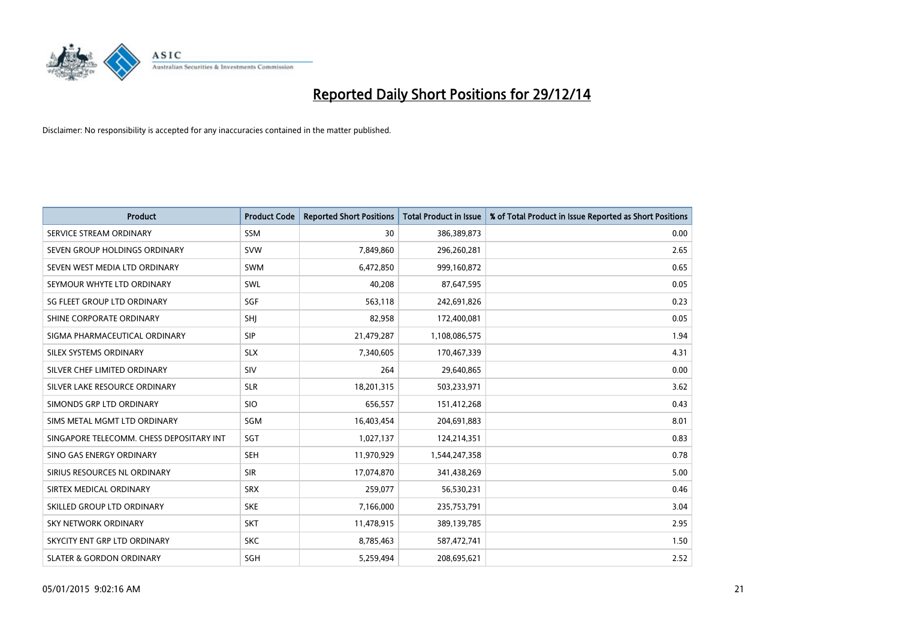

| <b>Product</b>                           | <b>Product Code</b> | <b>Reported Short Positions</b> | <b>Total Product in Issue</b> | % of Total Product in Issue Reported as Short Positions |
|------------------------------------------|---------------------|---------------------------------|-------------------------------|---------------------------------------------------------|
| SERVICE STREAM ORDINARY                  | SSM                 | 30                              | 386,389,873                   | 0.00                                                    |
| SEVEN GROUP HOLDINGS ORDINARY            | <b>SVW</b>          | 7,849,860                       | 296,260,281                   | 2.65                                                    |
| SEVEN WEST MEDIA LTD ORDINARY            | <b>SWM</b>          | 6,472,850                       | 999,160,872                   | 0.65                                                    |
| SEYMOUR WHYTE LTD ORDINARY               | <b>SWL</b>          | 40,208                          | 87,647,595                    | 0.05                                                    |
| SG FLEET GROUP LTD ORDINARY              | SGF                 | 563,118                         | 242,691,826                   | 0.23                                                    |
| SHINE CORPORATE ORDINARY                 | SHJ                 | 82,958                          | 172,400,081                   | 0.05                                                    |
| SIGMA PHARMACEUTICAL ORDINARY            | <b>SIP</b>          | 21,479,287                      | 1,108,086,575                 | 1.94                                                    |
| SILEX SYSTEMS ORDINARY                   | <b>SLX</b>          | 7,340,605                       | 170,467,339                   | 4.31                                                    |
| SILVER CHEF LIMITED ORDINARY             | SIV                 | 264                             | 29,640,865                    | 0.00                                                    |
| SILVER LAKE RESOURCE ORDINARY            | <b>SLR</b>          | 18,201,315                      | 503,233,971                   | 3.62                                                    |
| SIMONDS GRP LTD ORDINARY                 | <b>SIO</b>          | 656,557                         | 151,412,268                   | 0.43                                                    |
| SIMS METAL MGMT LTD ORDINARY             | <b>SGM</b>          | 16,403,454                      | 204,691,883                   | 8.01                                                    |
| SINGAPORE TELECOMM. CHESS DEPOSITARY INT | <b>SGT</b>          | 1,027,137                       | 124,214,351                   | 0.83                                                    |
| SINO GAS ENERGY ORDINARY                 | <b>SEH</b>          | 11,970,929                      | 1,544,247,358                 | 0.78                                                    |
| SIRIUS RESOURCES NL ORDINARY             | <b>SIR</b>          | 17,074,870                      | 341,438,269                   | 5.00                                                    |
| SIRTEX MEDICAL ORDINARY                  | <b>SRX</b>          | 259,077                         | 56,530,231                    | 0.46                                                    |
| SKILLED GROUP LTD ORDINARY               | <b>SKE</b>          | 7,166,000                       | 235,753,791                   | 3.04                                                    |
| SKY NETWORK ORDINARY                     | <b>SKT</b>          | 11,478,915                      | 389,139,785                   | 2.95                                                    |
| SKYCITY ENT GRP LTD ORDINARY             | <b>SKC</b>          | 8,785,463                       | 587,472,741                   | 1.50                                                    |
| <b>SLATER &amp; GORDON ORDINARY</b>      | SGH                 | 5,259,494                       | 208,695,621                   | 2.52                                                    |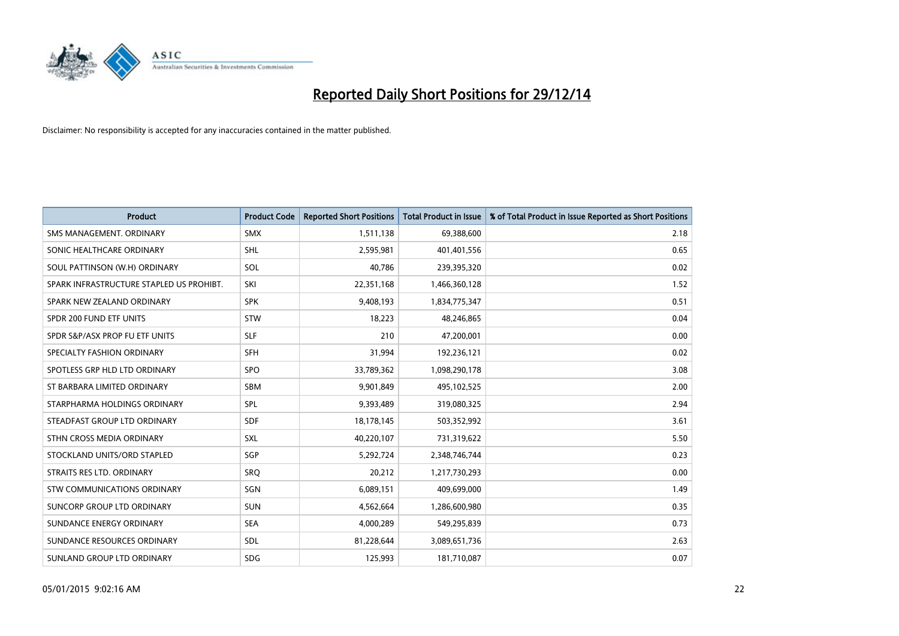

| <b>Product</b>                           | <b>Product Code</b> | <b>Reported Short Positions</b> | <b>Total Product in Issue</b> | % of Total Product in Issue Reported as Short Positions |
|------------------------------------------|---------------------|---------------------------------|-------------------------------|---------------------------------------------------------|
| SMS MANAGEMENT, ORDINARY                 | <b>SMX</b>          | 1,511,138                       | 69,388,600                    | 2.18                                                    |
| SONIC HEALTHCARE ORDINARY                | <b>SHL</b>          | 2,595,981                       | 401,401,556                   | 0.65                                                    |
| SOUL PATTINSON (W.H) ORDINARY            | SOL                 | 40,786                          | 239,395,320                   | 0.02                                                    |
| SPARK INFRASTRUCTURE STAPLED US PROHIBT. | SKI                 | 22,351,168                      | 1,466,360,128                 | 1.52                                                    |
| SPARK NEW ZEALAND ORDINARY               | <b>SPK</b>          | 9,408,193                       | 1,834,775,347                 | 0.51                                                    |
| SPDR 200 FUND ETF UNITS                  | STW                 | 18,223                          | 48,246,865                    | 0.04                                                    |
| SPDR S&P/ASX PROP FU ETF UNITS           | <b>SLF</b>          | 210                             | 47,200,001                    | 0.00                                                    |
| SPECIALTY FASHION ORDINARY               | <b>SFH</b>          | 31,994                          | 192,236,121                   | 0.02                                                    |
| SPOTLESS GRP HLD LTD ORDINARY            | SPO                 | 33,789,362                      | 1,098,290,178                 | 3.08                                                    |
| ST BARBARA LIMITED ORDINARY              | <b>SBM</b>          | 9,901,849                       | 495,102,525                   | 2.00                                                    |
| STARPHARMA HOLDINGS ORDINARY             | SPL                 | 9,393,489                       | 319,080,325                   | 2.94                                                    |
| STEADFAST GROUP LTD ORDINARY             | <b>SDF</b>          | 18,178,145                      | 503,352,992                   | 3.61                                                    |
| STHN CROSS MEDIA ORDINARY                | SXL                 | 40,220,107                      | 731,319,622                   | 5.50                                                    |
| STOCKLAND UNITS/ORD STAPLED              | SGP                 | 5,292,724                       | 2,348,746,744                 | 0.23                                                    |
| STRAITS RES LTD. ORDINARY                | SRQ                 | 20,212                          | 1,217,730,293                 | 0.00                                                    |
| STW COMMUNICATIONS ORDINARY              | SGN                 | 6,089,151                       | 409,699,000                   | 1.49                                                    |
| SUNCORP GROUP LTD ORDINARY               | <b>SUN</b>          | 4,562,664                       | 1,286,600,980                 | 0.35                                                    |
| SUNDANCE ENERGY ORDINARY                 | <b>SEA</b>          | 4,000,289                       | 549,295,839                   | 0.73                                                    |
| SUNDANCE RESOURCES ORDINARY              | SDL                 | 81,228,644                      | 3,089,651,736                 | 2.63                                                    |
| SUNLAND GROUP LTD ORDINARY               | <b>SDG</b>          | 125,993                         | 181,710,087                   | 0.07                                                    |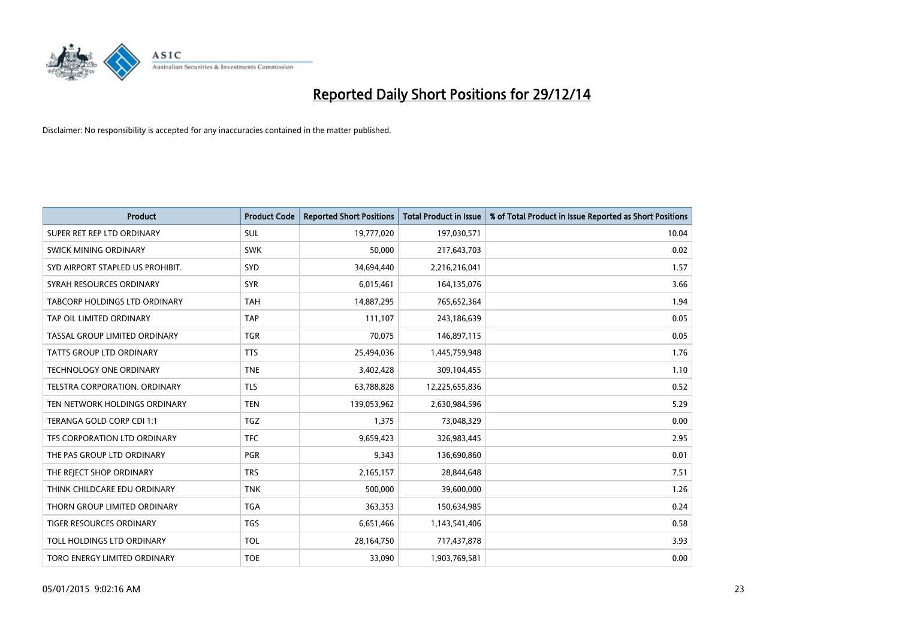

| <b>Product</b>                   | <b>Product Code</b> | <b>Reported Short Positions</b> | <b>Total Product in Issue</b> | % of Total Product in Issue Reported as Short Positions |
|----------------------------------|---------------------|---------------------------------|-------------------------------|---------------------------------------------------------|
| SUPER RET REP LTD ORDINARY       | <b>SUL</b>          | 19,777,020                      | 197,030,571                   | 10.04                                                   |
| SWICK MINING ORDINARY            | <b>SWK</b>          | 50,000                          | 217,643,703                   | 0.02                                                    |
| SYD AIRPORT STAPLED US PROHIBIT. | <b>SYD</b>          | 34,694,440                      | 2,216,216,041                 | 1.57                                                    |
| SYRAH RESOURCES ORDINARY         | <b>SYR</b>          | 6,015,461                       | 164,135,076                   | 3.66                                                    |
| TABCORP HOLDINGS LTD ORDINARY    | <b>TAH</b>          | 14,887,295                      | 765,652,364                   | 1.94                                                    |
| TAP OIL LIMITED ORDINARY         | <b>TAP</b>          | 111,107                         | 243,186,639                   | 0.05                                                    |
| TASSAL GROUP LIMITED ORDINARY    | TGR                 | 70,075                          | 146,897,115                   | 0.05                                                    |
| TATTS GROUP LTD ORDINARY         | <b>TTS</b>          | 25,494,036                      | 1,445,759,948                 | 1.76                                                    |
| <b>TECHNOLOGY ONE ORDINARY</b>   | <b>TNE</b>          | 3,402,428                       | 309,104,455                   | 1.10                                                    |
| TELSTRA CORPORATION, ORDINARY    | <b>TLS</b>          | 63,788,828                      | 12,225,655,836                | 0.52                                                    |
| TEN NETWORK HOLDINGS ORDINARY    | <b>TEN</b>          | 139,053,962                     | 2,630,984,596                 | 5.29                                                    |
| TERANGA GOLD CORP CDI 1:1        | <b>TGZ</b>          | 1,375                           | 73,048,329                    | 0.00                                                    |
| TFS CORPORATION LTD ORDINARY     | <b>TFC</b>          | 9,659,423                       | 326,983,445                   | 2.95                                                    |
| THE PAS GROUP LTD ORDINARY       | PGR                 | 9,343                           | 136,690,860                   | 0.01                                                    |
| THE REJECT SHOP ORDINARY         | <b>TRS</b>          | 2,165,157                       | 28,844,648                    | 7.51                                                    |
| THINK CHILDCARE EDU ORDINARY     | <b>TNK</b>          | 500,000                         | 39,600,000                    | 1.26                                                    |
| THORN GROUP LIMITED ORDINARY     | <b>TGA</b>          | 363,353                         | 150,634,985                   | 0.24                                                    |
| TIGER RESOURCES ORDINARY         | <b>TGS</b>          | 6,651,466                       | 1,143,541,406                 | 0.58                                                    |
| TOLL HOLDINGS LTD ORDINARY       | <b>TOL</b>          | 28,164,750                      | 717,437,878                   | 3.93                                                    |
| TORO ENERGY LIMITED ORDINARY     | <b>TOE</b>          | 33,090                          | 1,903,769,581                 | 0.00                                                    |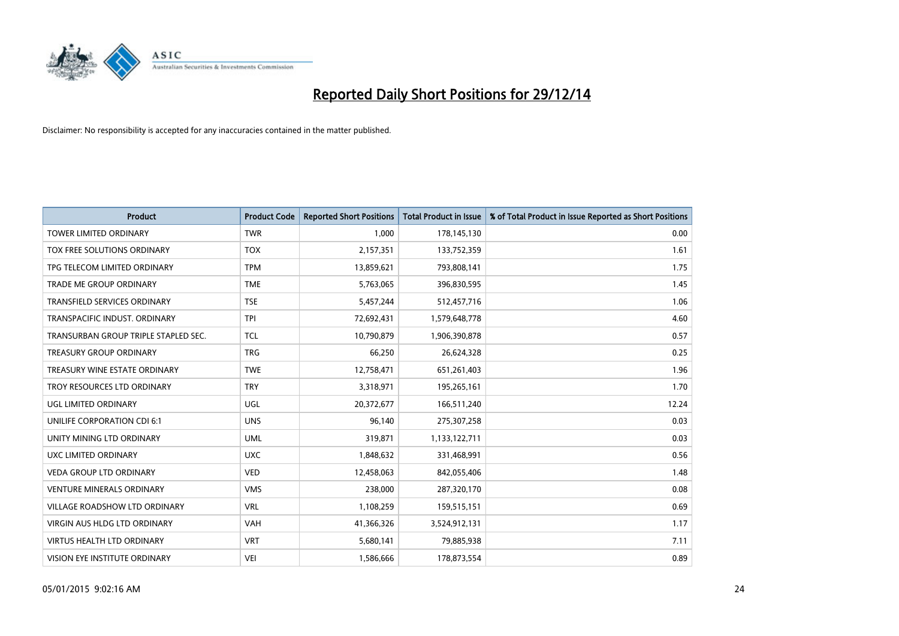

| <b>Product</b>                       | <b>Product Code</b> | <b>Reported Short Positions</b> | <b>Total Product in Issue</b> | % of Total Product in Issue Reported as Short Positions |
|--------------------------------------|---------------------|---------------------------------|-------------------------------|---------------------------------------------------------|
| <b>TOWER LIMITED ORDINARY</b>        | <b>TWR</b>          | 1.000                           | 178,145,130                   | 0.00                                                    |
| TOX FREE SOLUTIONS ORDINARY          | <b>TOX</b>          | 2,157,351                       | 133,752,359                   | 1.61                                                    |
| TPG TELECOM LIMITED ORDINARY         | <b>TPM</b>          | 13,859,621                      | 793,808,141                   | 1.75                                                    |
| TRADE ME GROUP ORDINARY              | <b>TME</b>          | 5,763,065                       | 396,830,595                   | 1.45                                                    |
| <b>TRANSFIELD SERVICES ORDINARY</b>  | <b>TSE</b>          | 5,457,244                       | 512,457,716                   | 1.06                                                    |
| TRANSPACIFIC INDUST, ORDINARY        | <b>TPI</b>          | 72,692,431                      | 1,579,648,778                 | 4.60                                                    |
| TRANSURBAN GROUP TRIPLE STAPLED SEC. | <b>TCL</b>          | 10,790,879                      | 1,906,390,878                 | 0.57                                                    |
| <b>TREASURY GROUP ORDINARY</b>       | <b>TRG</b>          | 66,250                          | 26,624,328                    | 0.25                                                    |
| TREASURY WINE ESTATE ORDINARY        | <b>TWE</b>          | 12,758,471                      | 651,261,403                   | 1.96                                                    |
| TROY RESOURCES LTD ORDINARY          | <b>TRY</b>          | 3,318,971                       | 195,265,161                   | 1.70                                                    |
| UGL LIMITED ORDINARY                 | UGL                 | 20,372,677                      | 166,511,240                   | 12.24                                                   |
| UNILIFE CORPORATION CDI 6:1          | <b>UNS</b>          | 96,140                          | 275,307,258                   | 0.03                                                    |
| UNITY MINING LTD ORDINARY            | <b>UML</b>          | 319,871                         | 1,133,122,711                 | 0.03                                                    |
| UXC LIMITED ORDINARY                 | <b>UXC</b>          | 1,848,632                       | 331,468,991                   | 0.56                                                    |
| <b>VEDA GROUP LTD ORDINARY</b>       | <b>VED</b>          | 12,458,063                      | 842,055,406                   | 1.48                                                    |
| <b>VENTURE MINERALS ORDINARY</b>     | <b>VMS</b>          | 238,000                         | 287,320,170                   | 0.08                                                    |
| VILLAGE ROADSHOW LTD ORDINARY        | <b>VRL</b>          | 1,108,259                       | 159,515,151                   | 0.69                                                    |
| <b>VIRGIN AUS HLDG LTD ORDINARY</b>  | <b>VAH</b>          | 41,366,326                      | 3,524,912,131                 | 1.17                                                    |
| <b>VIRTUS HEALTH LTD ORDINARY</b>    | <b>VRT</b>          | 5,680,141                       | 79,885,938                    | 7.11                                                    |
| VISION EYE INSTITUTE ORDINARY        | <b>VEI</b>          | 1,586,666                       | 178,873,554                   | 0.89                                                    |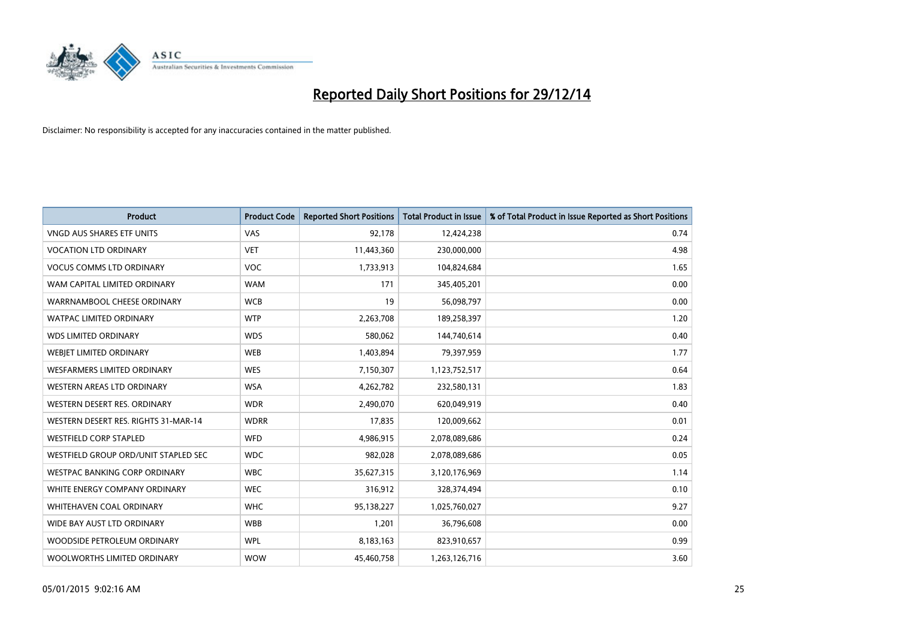

| Product                              | <b>Product Code</b> | <b>Reported Short Positions</b> | <b>Total Product in Issue</b> | % of Total Product in Issue Reported as Short Positions |
|--------------------------------------|---------------------|---------------------------------|-------------------------------|---------------------------------------------------------|
| <b>VNGD AUS SHARES ETF UNITS</b>     | VAS                 | 92,178                          | 12,424,238                    | 0.74                                                    |
| <b>VOCATION LTD ORDINARY</b>         | <b>VET</b>          | 11,443,360                      | 230,000,000                   | 4.98                                                    |
| <b>VOCUS COMMS LTD ORDINARY</b>      | <b>VOC</b>          | 1,733,913                       | 104,824,684                   | 1.65                                                    |
| WAM CAPITAL LIMITED ORDINARY         | <b>WAM</b>          | 171                             | 345,405,201                   | 0.00                                                    |
| WARRNAMBOOL CHEESE ORDINARY          | <b>WCB</b>          | 19                              | 56,098,797                    | 0.00                                                    |
| <b>WATPAC LIMITED ORDINARY</b>       | <b>WTP</b>          | 2,263,708                       | 189,258,397                   | 1.20                                                    |
| <b>WDS LIMITED ORDINARY</b>          | <b>WDS</b>          | 580,062                         | 144,740,614                   | 0.40                                                    |
| WEBJET LIMITED ORDINARY              | <b>WEB</b>          | 1,403,894                       | 79,397,959                    | 1.77                                                    |
| <b>WESFARMERS LIMITED ORDINARY</b>   | <b>WES</b>          | 7,150,307                       | 1,123,752,517                 | 0.64                                                    |
| WESTERN AREAS LTD ORDINARY           | <b>WSA</b>          | 4,262,782                       | 232,580,131                   | 1.83                                                    |
| WESTERN DESERT RES. ORDINARY         | <b>WDR</b>          | 2,490,070                       | 620,049,919                   | 0.40                                                    |
| WESTERN DESERT RES. RIGHTS 31-MAR-14 | <b>WDRR</b>         | 17,835                          | 120,009,662                   | 0.01                                                    |
| <b>WESTFIELD CORP STAPLED</b>        | <b>WFD</b>          | 4,986,915                       | 2,078,089,686                 | 0.24                                                    |
| WESTFIELD GROUP ORD/UNIT STAPLED SEC | <b>WDC</b>          | 982,028                         | 2,078,089,686                 | 0.05                                                    |
| WESTPAC BANKING CORP ORDINARY        | <b>WBC</b>          | 35,627,315                      | 3,120,176,969                 | 1.14                                                    |
| WHITE ENERGY COMPANY ORDINARY        | <b>WEC</b>          | 316,912                         | 328,374,494                   | 0.10                                                    |
| <b>WHITEHAVEN COAL ORDINARY</b>      | <b>WHC</b>          | 95,138,227                      | 1,025,760,027                 | 9.27                                                    |
| WIDE BAY AUST LTD ORDINARY           | <b>WBB</b>          | 1,201                           | 36,796,608                    | 0.00                                                    |
| WOODSIDE PETROLEUM ORDINARY          | <b>WPL</b>          | 8,183,163                       | 823,910,657                   | 0.99                                                    |
| WOOLWORTHS LIMITED ORDINARY          | <b>WOW</b>          | 45,460,758                      | 1,263,126,716                 | 3.60                                                    |